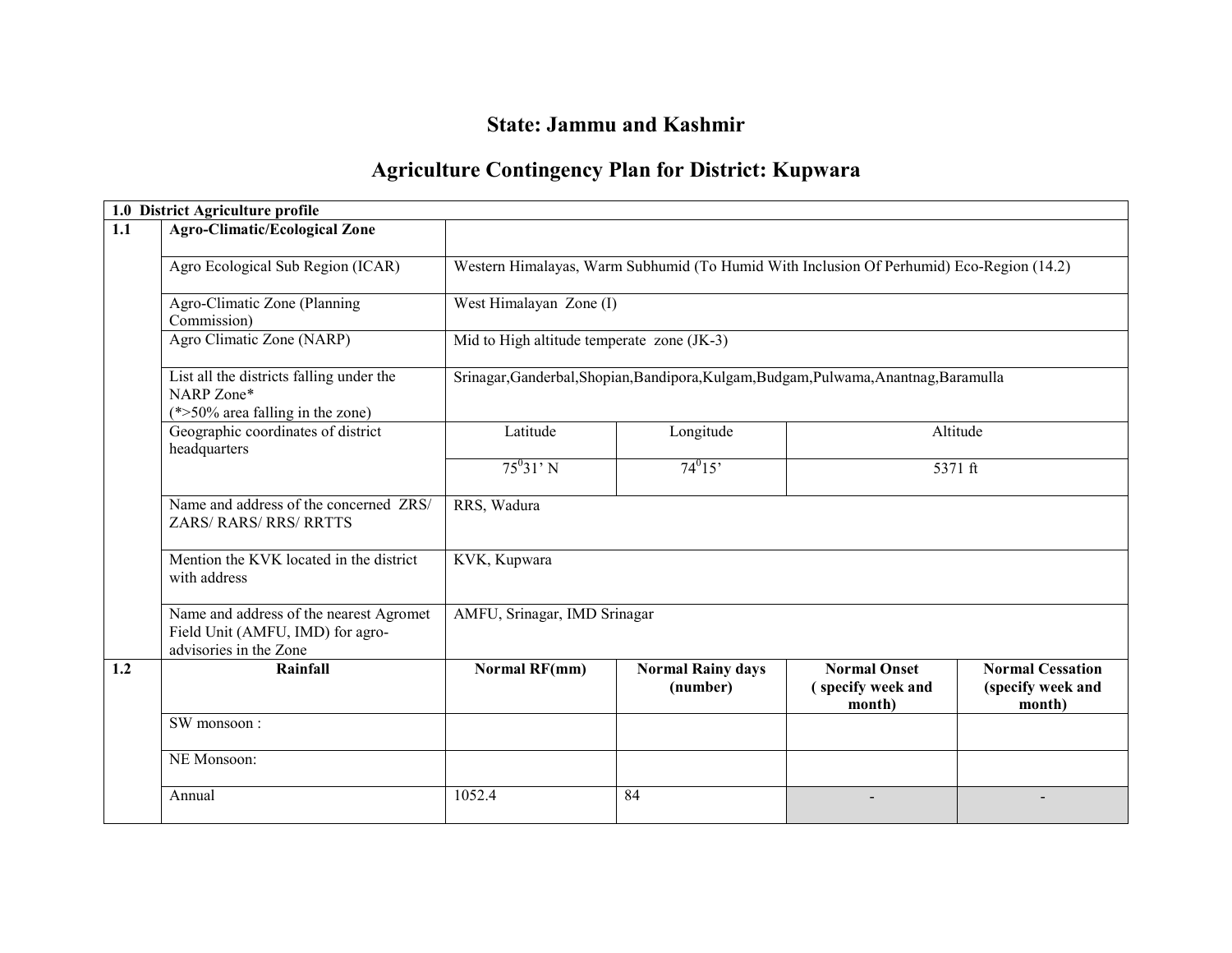## State: Jammu and Kashmir

### Agriculture Contingency Plan for District: Kupwara

|     | 1.0 District Agriculture profile                                                                      |                              |                                                                                          |                                                    |                                                        |  |  |  |  |  |
|-----|-------------------------------------------------------------------------------------------------------|------------------------------|------------------------------------------------------------------------------------------|----------------------------------------------------|--------------------------------------------------------|--|--|--|--|--|
| 1.1 | <b>Agro-Climatic/Ecological Zone</b>                                                                  |                              |                                                                                          |                                                    |                                                        |  |  |  |  |  |
|     | Agro Ecological Sub Region (ICAR)                                                                     |                              | Western Himalayas, Warm Subhumid (To Humid With Inclusion Of Perhumid) Eco-Region (14.2) |                                                    |                                                        |  |  |  |  |  |
|     | Agro-Climatic Zone (Planning<br>Commission)                                                           |                              | West Himalayan Zone (I)                                                                  |                                                    |                                                        |  |  |  |  |  |
|     | Agro Climatic Zone (NARP)                                                                             |                              | Mid to High altitude temperate zone (JK-3)                                               |                                                    |                                                        |  |  |  |  |  |
|     | List all the districts falling under the<br>NARP Zone*<br>$(*>50\%$ area falling in the zone)         |                              | Srinagar, Ganderbal, Shopian, Bandipora, Kulgam, Budgam, Pulwama, Anantnag, Baramulla    |                                                    |                                                        |  |  |  |  |  |
|     | Geographic coordinates of district<br>headquarters                                                    | Latitude                     | Longitude                                                                                | Altitude                                           |                                                        |  |  |  |  |  |
|     |                                                                                                       | $75^031'$ N                  | $74^{0}15'$                                                                              | 5371 ft                                            |                                                        |  |  |  |  |  |
|     | Name and address of the concerned ZRS/<br><b>ZARS/ RARS/ RRS/ RRTTS</b>                               | RRS, Wadura                  |                                                                                          |                                                    |                                                        |  |  |  |  |  |
|     | Mention the KVK located in the district<br>with address                                               | KVK, Kupwara                 |                                                                                          |                                                    |                                                        |  |  |  |  |  |
|     | Name and address of the nearest Agromet<br>Field Unit (AMFU, IMD) for agro-<br>advisories in the Zone | AMFU, Srinagar, IMD Srinagar |                                                                                          |                                                    |                                                        |  |  |  |  |  |
| 1.2 | Rainfall                                                                                              | <b>Normal RF(mm)</b>         | <b>Normal Rainy days</b><br>(number)                                                     | <b>Normal Onset</b><br>(specify week and<br>month) | <b>Normal Cessation</b><br>(specify week and<br>month) |  |  |  |  |  |
|     | SW monsoon:                                                                                           |                              |                                                                                          |                                                    |                                                        |  |  |  |  |  |
|     | NE Monsoon:                                                                                           |                              |                                                                                          |                                                    |                                                        |  |  |  |  |  |
|     | Annual                                                                                                | 1052.4                       | 84                                                                                       |                                                    |                                                        |  |  |  |  |  |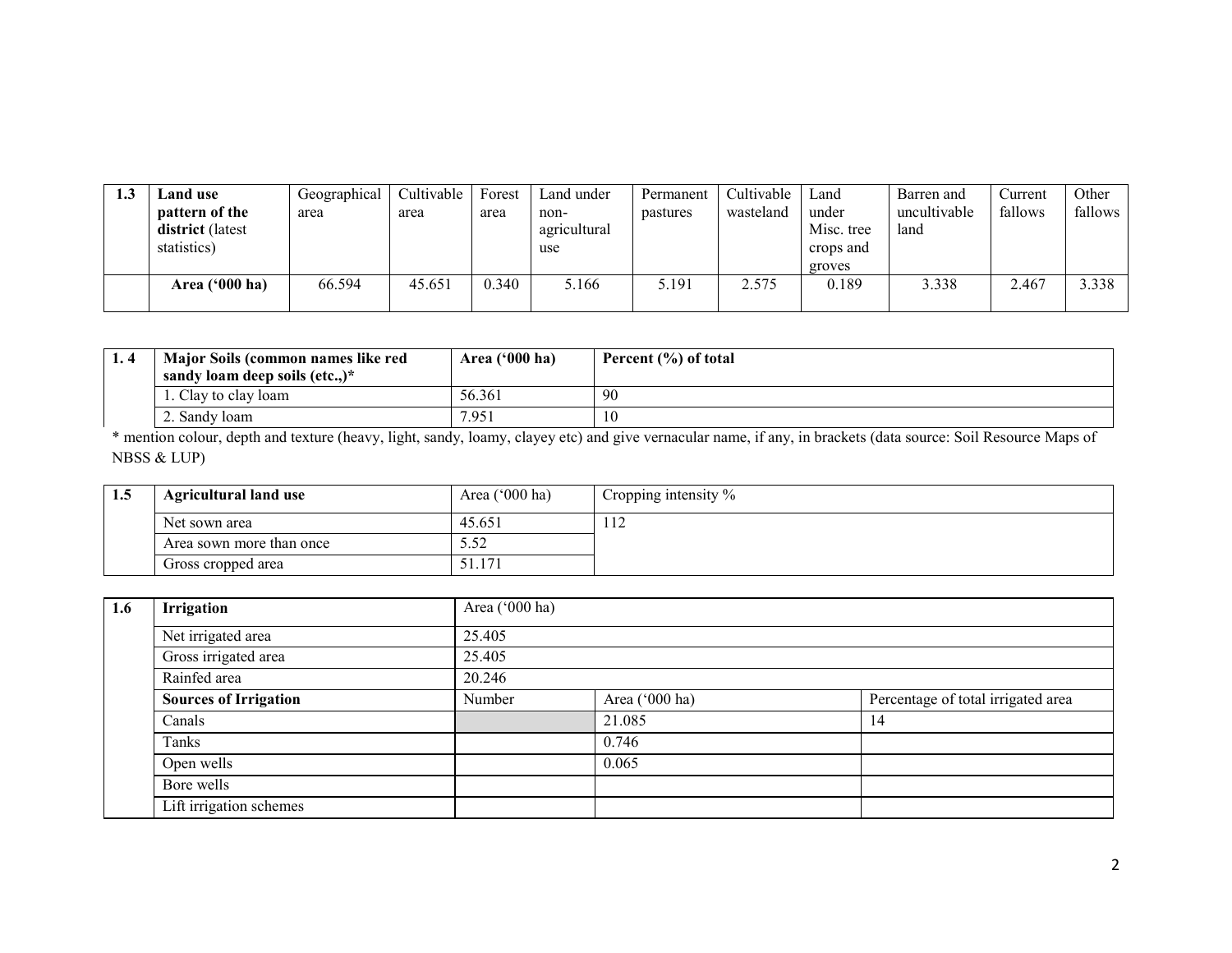| <b>⊿and use</b><br>pattern of the<br>district (latest<br>statistics) | Geographical<br>area | Cultivable<br>area | Forest<br>area | Land under<br>non-<br>agricultural<br>use | Permanent<br>pastures | Cultivable<br>wasteland | Land<br>under<br>Misc. tree<br>crops and<br>groves | Barren and<br>uncultivable<br>land | Current<br>fallows | Other<br>fallows |
|----------------------------------------------------------------------|----------------------|--------------------|----------------|-------------------------------------------|-----------------------|-------------------------|----------------------------------------------------|------------------------------------|--------------------|------------------|
| Area $('000 ha)$                                                     | 66.594               | 45.651             | 0.340          | 5.166                                     | 5.191                 | 2.575                   | 0.189                                              | 3.338                              | 2.467              | 3.338            |

| <br>Major Soils (common names like red | Area $('000 ha)$ | Percent (%) of total |
|----------------------------------------|------------------|----------------------|
| sandy loam deep soils (etc)*           |                  |                      |
| . Clay to clay loam                    | 56.361           | 90                   |
| 2. Sandy loam                          | 7.951            | 10                   |

 \* mention colour, depth and texture (heavy, light, sandy, loamy, clayey etc) and give vernacular name, if any, in brackets (data source: Soil Resource Maps of NBSS & LUP)

| 1.5 | <b>Agricultural land use</b> | Area $('000 ha)$ | Cropping intensity $\%$ |
|-----|------------------------------|------------------|-------------------------|
|     | Net sown area                | 45.651           | .                       |
|     | Area sown more than once     | ے ت              |                         |
|     | Gross cropped area           | 1.71             |                         |

| 1.6 | Irrigation                   | Area ('000 ha) |                |                                    |  |  |  |
|-----|------------------------------|----------------|----------------|------------------------------------|--|--|--|
|     | Net irrigated area           | 25.405         |                |                                    |  |  |  |
|     | Gross irrigated area         | 25.405         |                |                                    |  |  |  |
|     | Rainfed area                 | 20.246         |                |                                    |  |  |  |
|     | <b>Sources of Irrigation</b> | Number         | Area ('000 ha) | Percentage of total irrigated area |  |  |  |
|     | Canals                       |                | 21.085         | 14                                 |  |  |  |
|     | Tanks                        |                | 0.746          |                                    |  |  |  |
|     | Open wells                   |                | 0.065          |                                    |  |  |  |
|     | Bore wells                   |                |                |                                    |  |  |  |
|     | Lift irrigation schemes      |                |                |                                    |  |  |  |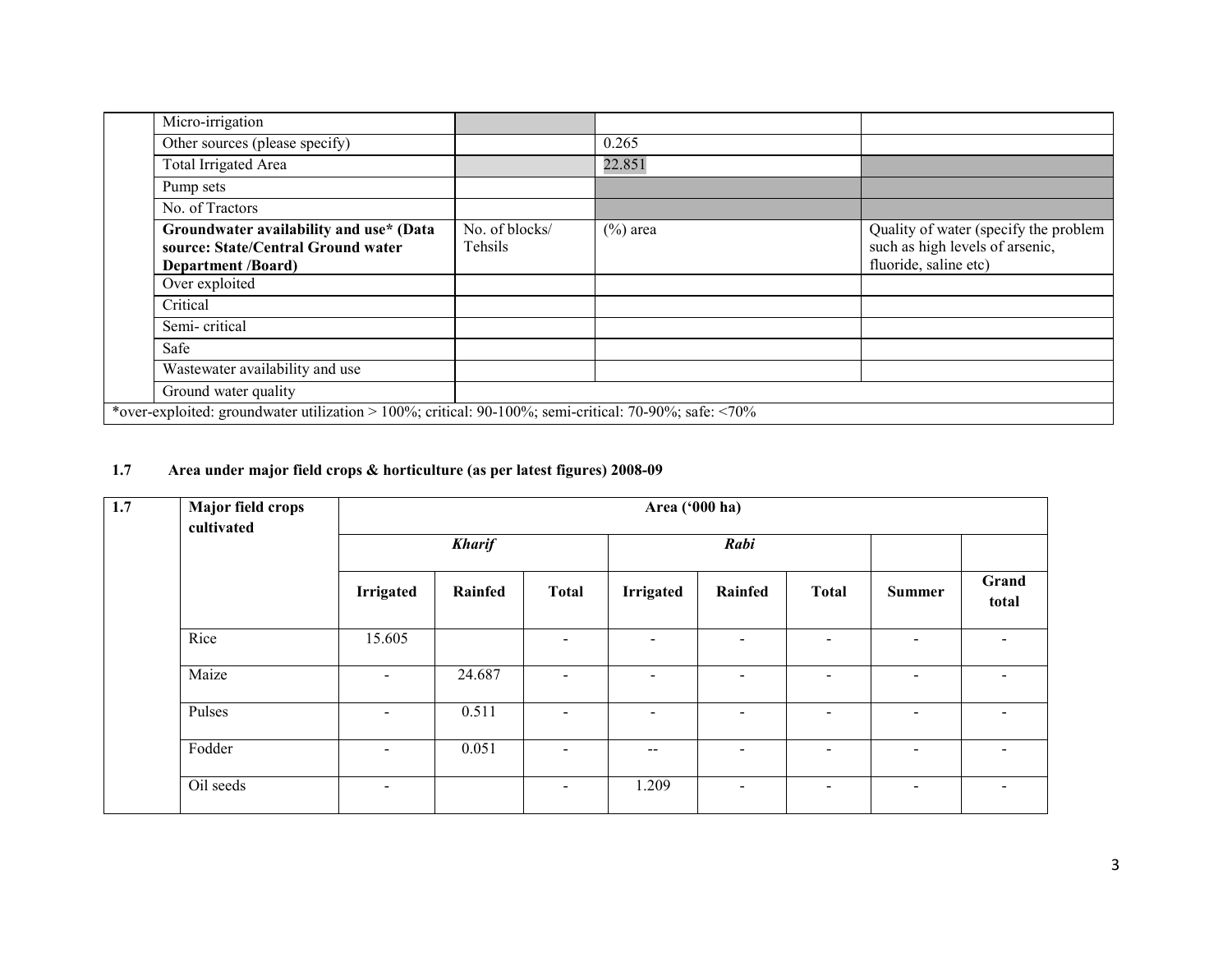| Micro-irrigation                                                                                           |                           |             |                                                                                                   |
|------------------------------------------------------------------------------------------------------------|---------------------------|-------------|---------------------------------------------------------------------------------------------------|
| Other sources (please specify)                                                                             |                           | 0.265       |                                                                                                   |
| Total Irrigated Area                                                                                       |                           | 22.851      |                                                                                                   |
| Pump sets                                                                                                  |                           |             |                                                                                                   |
| No. of Tractors                                                                                            |                           |             |                                                                                                   |
| Groundwater availability and use* (Data<br>source: State/Central Ground water<br><b>Department /Board)</b> | No. of blocks/<br>Tehsils | $(\%)$ area | Quality of water (specify the problem<br>such as high levels of arsenic,<br>fluoride, saline etc) |
| Over exploited                                                                                             |                           |             |                                                                                                   |
| Critical                                                                                                   |                           |             |                                                                                                   |
| Semi-critical                                                                                              |                           |             |                                                                                                   |
| Safe                                                                                                       |                           |             |                                                                                                   |
| Wastewater availability and use                                                                            |                           |             |                                                                                                   |
| Ground water quality                                                                                       |                           |             |                                                                                                   |
| *over-exploited: groundwater utilization > 100%; critical: 90-100%; semi-critical: 70-90%; safe: <70%      |                           |             |                                                                                                   |

#### 1.7 Area under major field crops & horticulture (as per latest figures) 2008-09

| 1.7 | Major field crops<br>cultivated |                          | Area ('000 ha) |                          |                  |                          |                          |                          |                          |  |  |
|-----|---------------------------------|--------------------------|----------------|--------------------------|------------------|--------------------------|--------------------------|--------------------------|--------------------------|--|--|
|     |                                 | <b>Kharif</b>            |                | Rabi                     |                  |                          |                          |                          |                          |  |  |
|     |                                 | <b>Irrigated</b>         | Rainfed        | <b>Total</b>             | <b>Irrigated</b> | Rainfed                  | <b>Total</b>             | <b>Summer</b>            | Grand<br>total           |  |  |
|     | Rice                            | 15.605                   |                | $\sim$                   | $\sim$           | $\blacksquare$           | $\blacksquare$           | $\sim$                   | $\overline{\phantom{0}}$ |  |  |
|     | Maize                           | $\blacksquare$           | 24.687         | $\blacksquare$           | $\blacksquare$   | $\blacksquare$           | $\blacksquare$           | $\sim$                   | $\sim$                   |  |  |
|     | Pulses                          | $\overline{\phantom{a}}$ | 0.511          | $\overline{\phantom{a}}$ | $\blacksquare$   | $\overline{\phantom{a}}$ | $\overline{\phantom{0}}$ | $\overline{\phantom{a}}$ | $\overline{\phantom{0}}$ |  |  |
|     | Fodder                          | $\sim$                   | 0.051          | $\overline{\phantom{a}}$ | --               | $\overline{\phantom{a}}$ | $\overline{a}$           | $\overline{\phantom{a}}$ |                          |  |  |
|     | Oil seeds                       | $\overline{\phantom{0}}$ |                | $\blacksquare$           | 1.209            | $\blacksquare$           | $\blacksquare$           | $\blacksquare$           | $\overline{\phantom{0}}$ |  |  |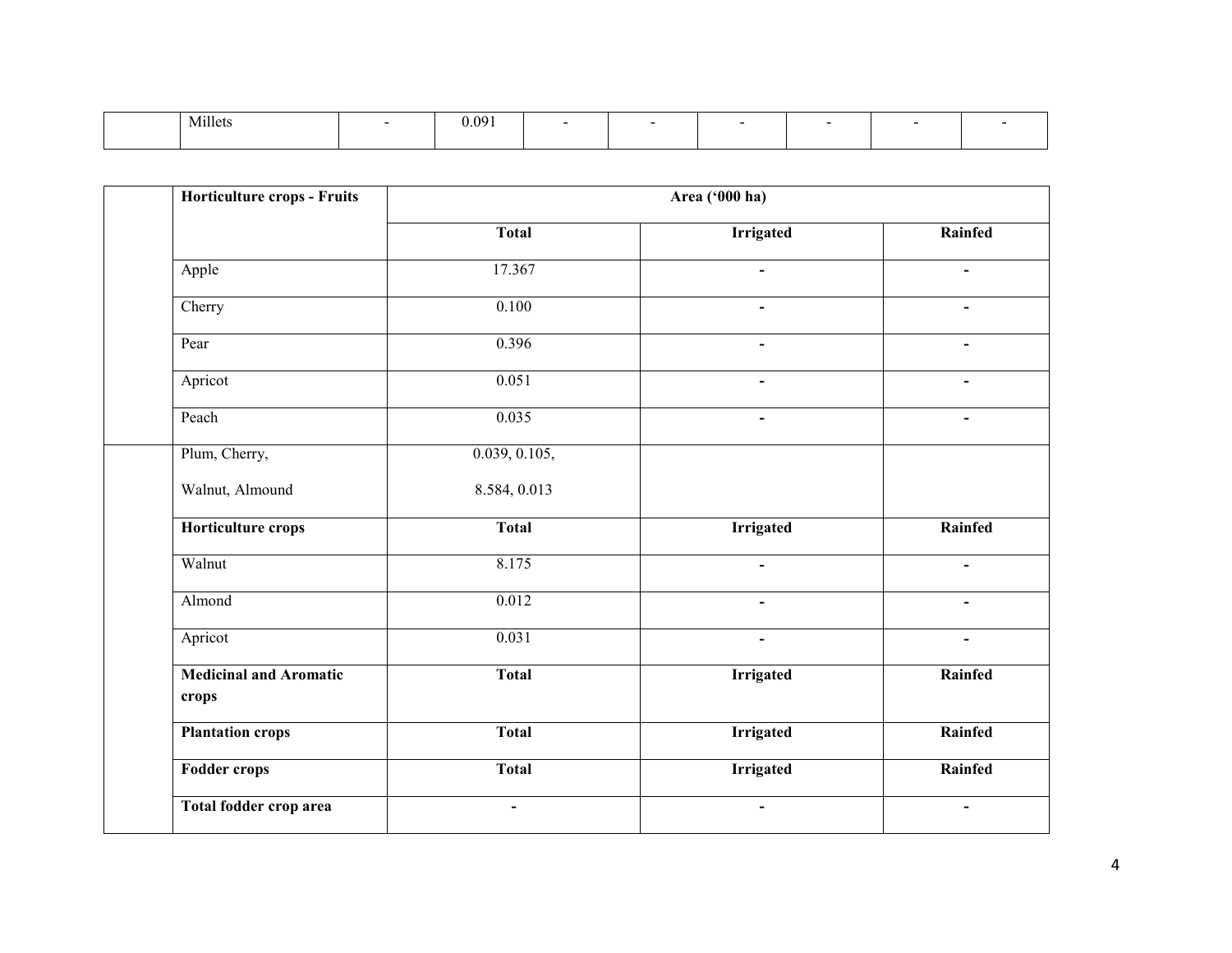| $- + + +$<br>Millets | 0.091<br>. |  |  |  |
|----------------------|------------|--|--|--|
|                      |            |  |  |  |

| Horticulture crops - Fruits            |                | Area ('000 ha)   |                          |  |
|----------------------------------------|----------------|------------------|--------------------------|--|
|                                        | <b>Total</b>   | <b>Irrigated</b> | Rainfed                  |  |
| Apple                                  | 17.367         | $\blacksquare$   | $\blacksquare$           |  |
| Cherry                                 | 0.100          | $\sim$           | $\blacksquare$           |  |
| Pear                                   | 0.396          | $\blacksquare$   | $\sim$                   |  |
| Apricot                                | 0.051          |                  |                          |  |
| Peach                                  | 0.035          |                  |                          |  |
| Plum, Cherry,                          | 0.039, 0.105,  |                  |                          |  |
| Walnut, Almound                        | 8.584, 0.013   |                  |                          |  |
| Horticulture crops                     | <b>Total</b>   | <b>Irrigated</b> | Rainfed                  |  |
| Walnut                                 | 8.175          |                  | $\blacksquare$           |  |
| Almond                                 | 0.012          | $\blacksquare$   | $\overline{\phantom{a}}$ |  |
| Apricot                                | 0.031          | $\blacksquare$   | $\blacksquare$           |  |
| <b>Medicinal and Aromatic</b><br>crops | <b>Total</b>   | <b>Irrigated</b> | Rainfed                  |  |
| <b>Plantation crops</b>                | <b>Total</b>   | <b>Irrigated</b> | Rainfed                  |  |
| <b>Fodder crops</b>                    | <b>Total</b>   | <b>Irrigated</b> | Rainfed                  |  |
| Total fodder crop area                 | $\blacksquare$ | $\blacksquare$   | $\blacksquare$           |  |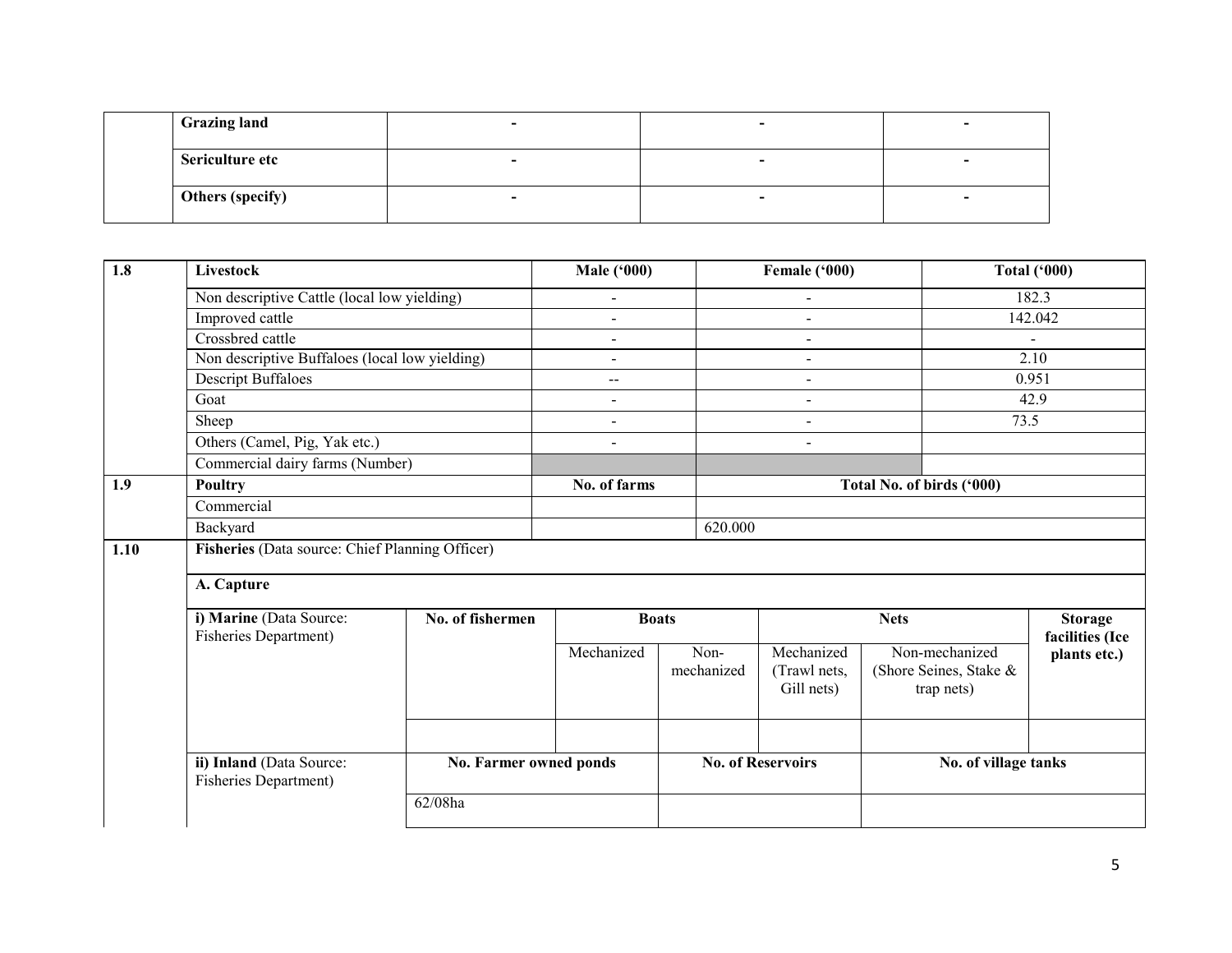| <b>Grazing land</b> |  |  |
|---------------------|--|--|
| Sericulture etc     |  |  |
| Others (specify)    |  |  |

| 1.8  | Livestock                                                |                        | <b>Male ('000)</b>                    |            | Female ('000)              |                           | Total $(900)$   |  |
|------|----------------------------------------------------------|------------------------|---------------------------------------|------------|----------------------------|---------------------------|-----------------|--|
|      | Non descriptive Cattle (local low yielding)              |                        | $\qquad \qquad \blacksquare$          |            | $\blacksquare$             |                           | 182.3           |  |
|      | Improved cattle                                          |                        | $\blacksquare$                        |            | L,                         |                           | 142.042         |  |
|      | Crossbred cattle                                         |                        | $\overline{\phantom{0}}$              |            | $\blacksquare$             |                           | $\blacksquare$  |  |
|      | Non descriptive Buffaloes (local low yielding)           |                        | $\blacksquare$                        |            | $\blacksquare$             |                           | 2.10            |  |
|      | <b>Descript Buffaloes</b>                                |                        | $\hspace{0.05cm}$ – $\hspace{0.05cm}$ |            | $\blacksquare$             |                           | 0.951           |  |
|      | Goat                                                     |                        | $\blacksquare$                        |            | $\blacksquare$             |                           | 42.9            |  |
|      | Sheep                                                    |                        | $\blacksquare$                        |            | $\blacksquare$             | 73.5                      |                 |  |
|      | Others (Camel, Pig, Yak etc.)                            |                        | $\qquad \qquad \blacksquare$          |            | $\blacksquare$             |                           |                 |  |
|      | Commercial dairy farms (Number)                          |                        |                                       |            |                            |                           |                 |  |
| 1.9  | Poultry                                                  |                        | No. of farms                          |            |                            | Total No. of birds ('000) |                 |  |
|      | Commercial                                               |                        |                                       |            |                            |                           |                 |  |
|      | Backyard                                                 |                        |                                       | 620.000    |                            |                           |                 |  |
| 1.10 | Fisheries (Data source: Chief Planning Officer)          |                        |                                       |            |                            |                           |                 |  |
|      |                                                          |                        |                                       |            |                            |                           |                 |  |
|      | A. Capture                                               |                        |                                       |            |                            |                           |                 |  |
|      | i) Marine (Data Source:                                  | No. of fishermen       | <b>Boats</b>                          |            |                            | <b>Nets</b>               | <b>Storage</b>  |  |
|      | <b>Fisheries Department)</b>                             |                        |                                       |            |                            |                           | facilities (Ice |  |
|      |                                                          |                        | Mechanized                            | Non-       | Mechanized                 | Non-mechanized            | plants etc.)    |  |
|      |                                                          |                        |                                       | mechanized | (Trawl nets,<br>Gill nets) | (Shore Seines, Stake &    |                 |  |
|      |                                                          |                        |                                       |            |                            | trap nets)                |                 |  |
|      |                                                          |                        |                                       |            |                            |                           |                 |  |
|      |                                                          |                        |                                       |            |                            |                           |                 |  |
|      | ii) Inland (Data Source:<br><b>Fisheries Department)</b> | No. Farmer owned ponds |                                       |            | <b>No. of Reservoirs</b>   | No. of village tanks      |                 |  |
|      |                                                          | 62/08ha                |                                       |            |                            |                           |                 |  |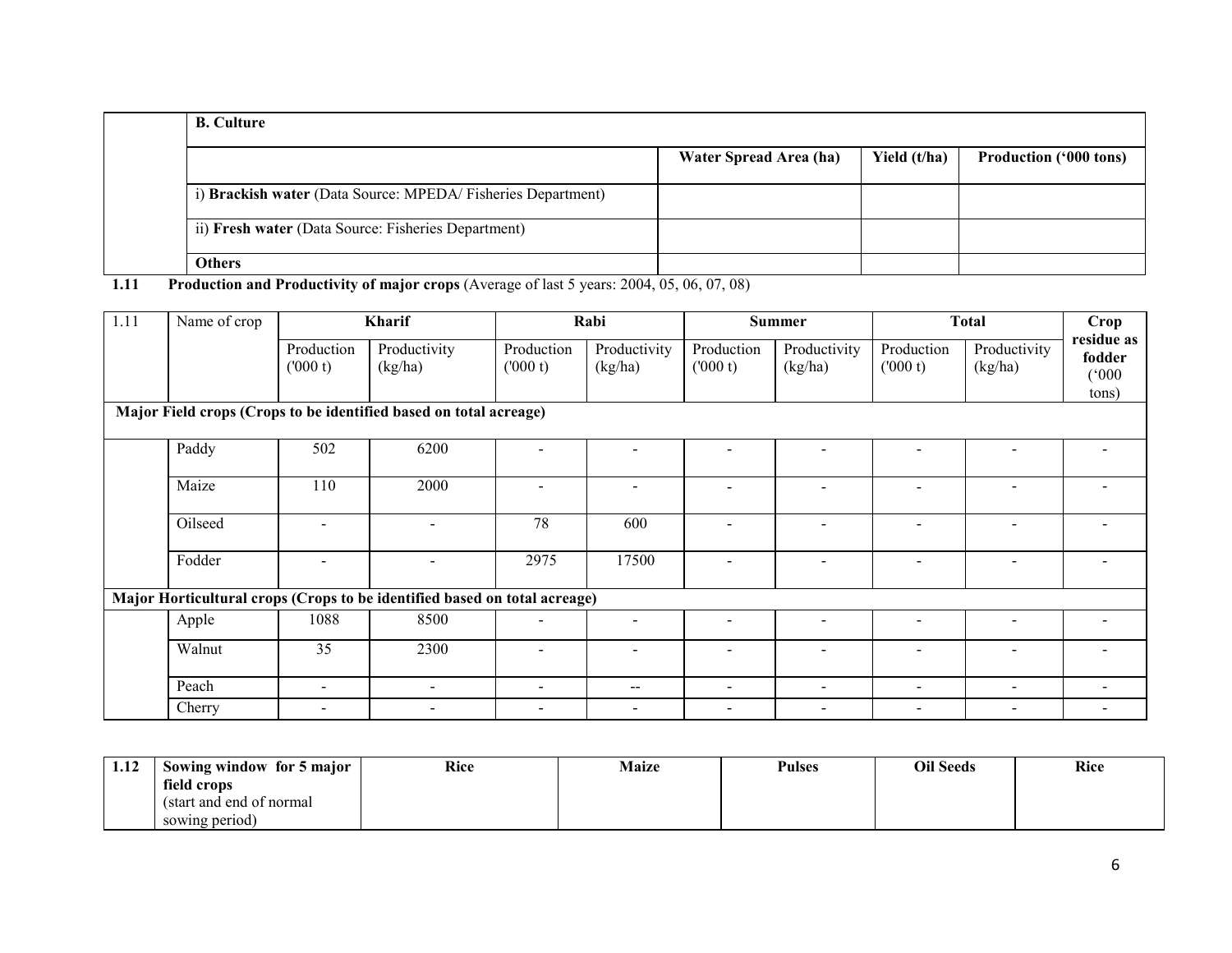| <b>B.</b> Culture                                           |                        |              |                               |
|-------------------------------------------------------------|------------------------|--------------|-------------------------------|
|                                                             | Water Spread Area (ha) | Yield (t/ha) | <b>Production ('000 tons)</b> |
| i) Brackish water (Data Source: MPEDA/Fisheries Department) |                        |              |                               |
| ii) Fresh water (Data Source: Fisheries Department)         |                        |              |                               |
| <b>Others</b>                                               |                        |              |                               |

1.11 Production and Productivity of major crops (Average of last 5 years: 2004, 05, 06, 07, 08)

| 1.11 | Name of crop |                          | Kharif                                                                    |                          | Rabi                     |                          | <b>Summer</b>            |                          | <b>Total</b>             | Crop                          |
|------|--------------|--------------------------|---------------------------------------------------------------------------|--------------------------|--------------------------|--------------------------|--------------------------|--------------------------|--------------------------|-------------------------------|
|      |              | Production<br>(000 t)    | Productivity<br>(kg/ha)                                                   | Production<br>(000 t)    | Productivity<br>(kg/ha)  | Production<br>(000 t)    | Productivity<br>(kg/ha)  | Production<br>(000 t)    | Productivity<br>(kg/ha)  | residue as<br>fodder<br>(000) |
|      |              |                          |                                                                           |                          |                          |                          |                          |                          |                          | tons)                         |
|      |              |                          | Major Field crops (Crops to be identified based on total acreage)         |                          |                          |                          |                          |                          |                          |                               |
|      | Paddy        | 502                      | 6200                                                                      |                          |                          |                          |                          |                          |                          |                               |
|      | Maize        | 110                      | 2000                                                                      |                          |                          |                          |                          |                          |                          |                               |
|      | Oilseed      |                          |                                                                           | 78                       | 600                      |                          | $\overline{a}$           | $\sim$                   | $\overline{\phantom{0}}$ |                               |
|      | Fodder       |                          | $\overline{\phantom{a}}$                                                  | 2975                     | 17500                    |                          | $\overline{\phantom{a}}$ | $\overline{\phantom{a}}$ |                          |                               |
|      |              |                          | Major Horticultural crops (Crops to be identified based on total acreage) |                          |                          |                          |                          |                          |                          |                               |
|      | Apple        | 1088                     | 8500                                                                      |                          |                          |                          | $\overline{\phantom{a}}$ |                          |                          |                               |
|      | Walnut       | 35                       | 2300                                                                      |                          |                          |                          | $\blacksquare$           |                          | $\overline{\phantom{a}}$ |                               |
|      | Peach        | $\blacksquare$           | $\overline{\phantom{a}}$                                                  | $\overline{\phantom{a}}$ | $\overline{\phantom{m}}$ | $\blacksquare$           | $\overline{\phantom{a}}$ | $\overline{\phantom{a}}$ | $\overline{\phantom{a}}$ | $\overline{\phantom{a}}$      |
|      | Cherry       | $\overline{\phantom{0}}$ | $\overline{\phantom{0}}$                                                  | $\overline{\phantom{0}}$ | $\overline{\phantom{0}}$ | $\overline{\phantom{0}}$ | $\overline{\phantom{a}}$ | $\,$                     | $\overline{\phantom{0}}$ | $\overline{\phantom{a}}$      |

| 1.12 | Sowing window for 5 major | Rice | Maize | <b>Pulses</b> | <b>Oil Seeds</b> | Rice |
|------|---------------------------|------|-------|---------------|------------------|------|
|      | field crops               |      |       |               |                  |      |
|      | (start and end of normal) |      |       |               |                  |      |
|      | sowing period)            |      |       |               |                  |      |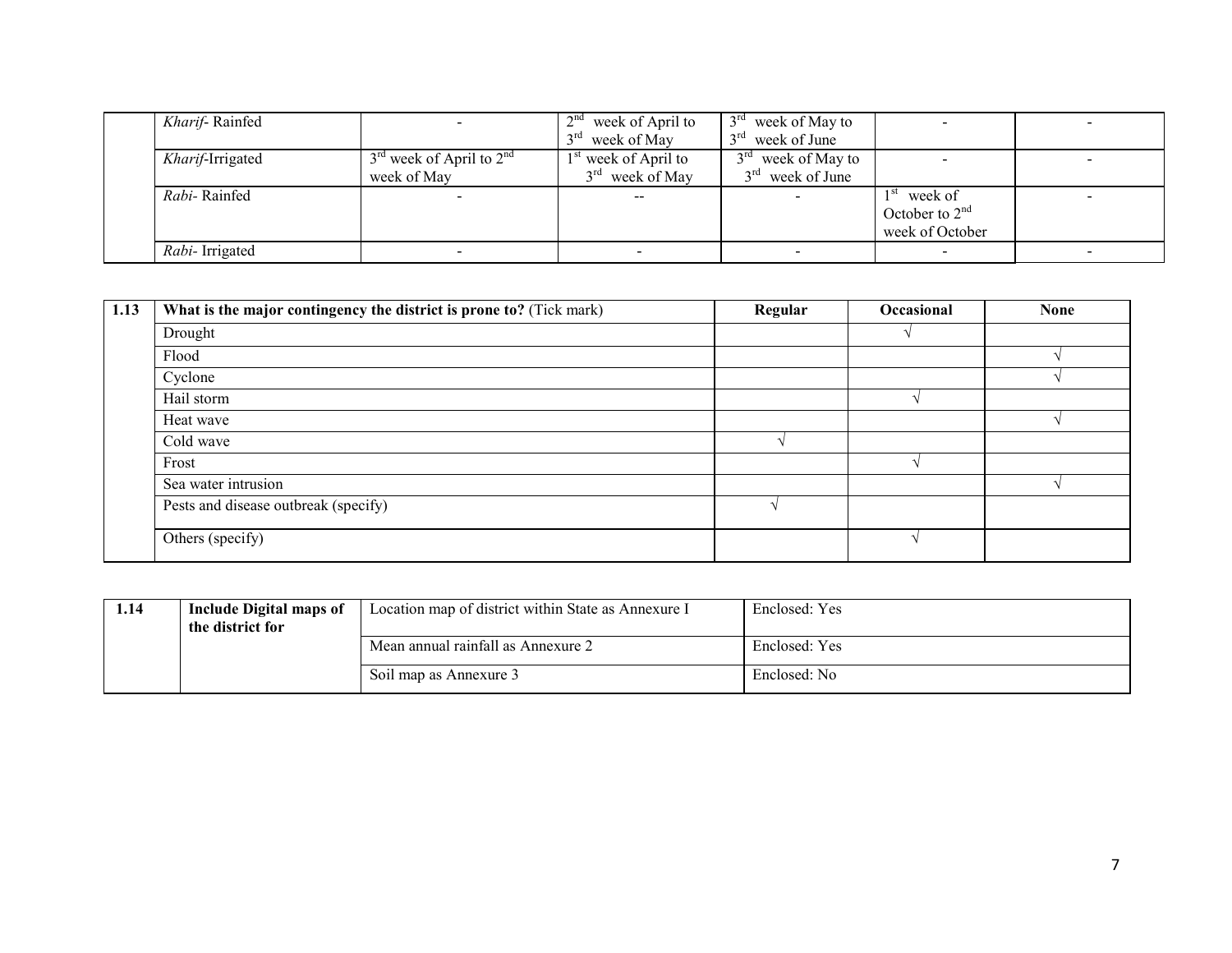| Kharif-Rainfed         |                              | 2 <sub>nd</sub><br>week of April to | $13rd$ week of May to             |                  |                          |
|------------------------|------------------------------|-------------------------------------|-----------------------------------|------------------|--------------------------|
|                        |                              | $2^{\text{rd}}$<br>week of May      | $3rd$ week of June                |                  |                          |
| Kharif-Irrigated       | $3rd$ week of April to $2nd$ | $1st$ week of April to              | $2^{\text{rd}}$<br>week of May to |                  | $\overline{\phantom{a}}$ |
|                        | week of May                  | $3rd$ week of May                   | $3rd$ week of June                |                  |                          |
| Rabi-Rainfed           |                              | $\hspace{0.1em}$ – $\hspace{0.1em}$ |                                   | week of          | $\overline{\phantom{a}}$ |
|                        |                              |                                     |                                   | October to $2nd$ |                          |
|                        |                              |                                     |                                   | week of October  |                          |
| <i>Rabi</i> -Irrigated |                              |                                     |                                   |                  |                          |

| 1.13 | What is the major contingency the district is prone to? (Tick mark) | Regular | Occasional | <b>None</b> |
|------|---------------------------------------------------------------------|---------|------------|-------------|
|      | Drought                                                             |         |            |             |
|      | Flood                                                               |         |            |             |
|      | Cyclone                                                             |         |            |             |
|      | Hail storm                                                          |         |            |             |
|      | Heat wave                                                           |         |            |             |
|      | Cold wave                                                           |         |            |             |
|      | Frost                                                               |         |            |             |
|      | Sea water intrusion                                                 |         |            |             |
|      | Pests and disease outbreak (specify)                                |         |            |             |
|      | Others (specify)                                                    |         |            |             |

| 1.14 | Include Digital maps of<br>the district for | Location map of district within State as Annexure I | Enclosed: Yes |
|------|---------------------------------------------|-----------------------------------------------------|---------------|
|      |                                             | Mean annual rainfall as Annexure 2                  | Enclosed: Yes |
|      |                                             | Soil map as Annexure 3                              | Enclosed: No  |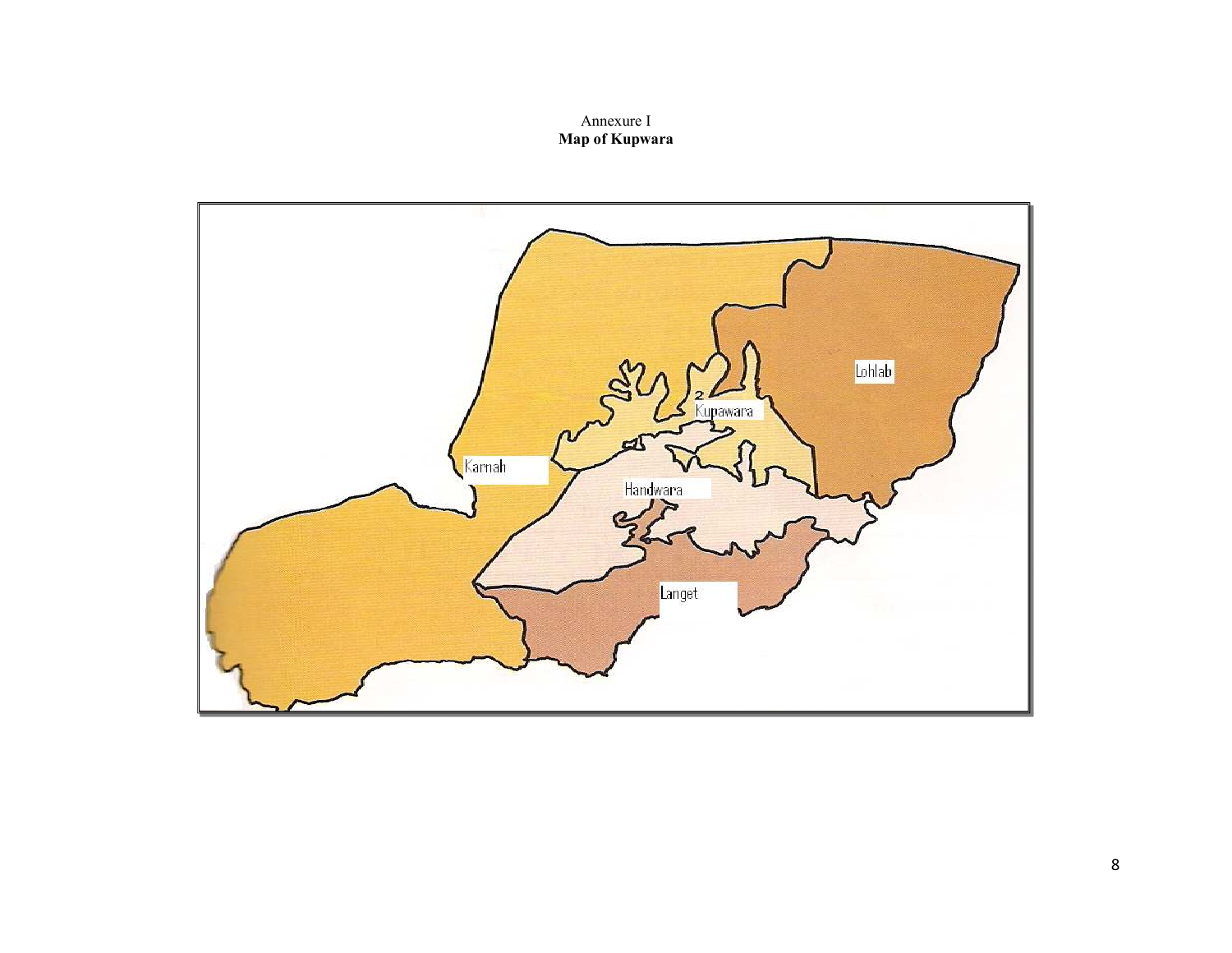# Annexure I Map of Kupwara

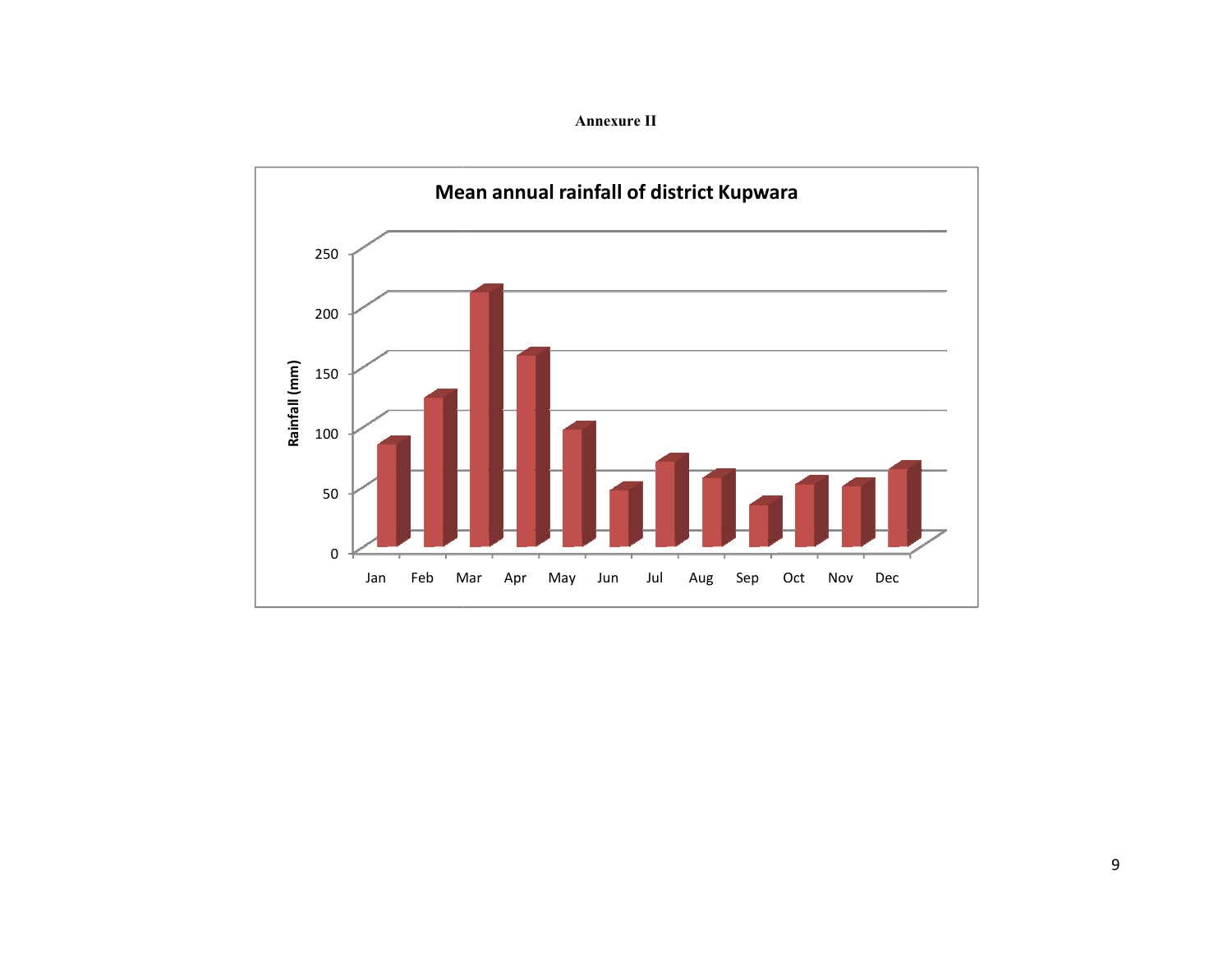Annexure II

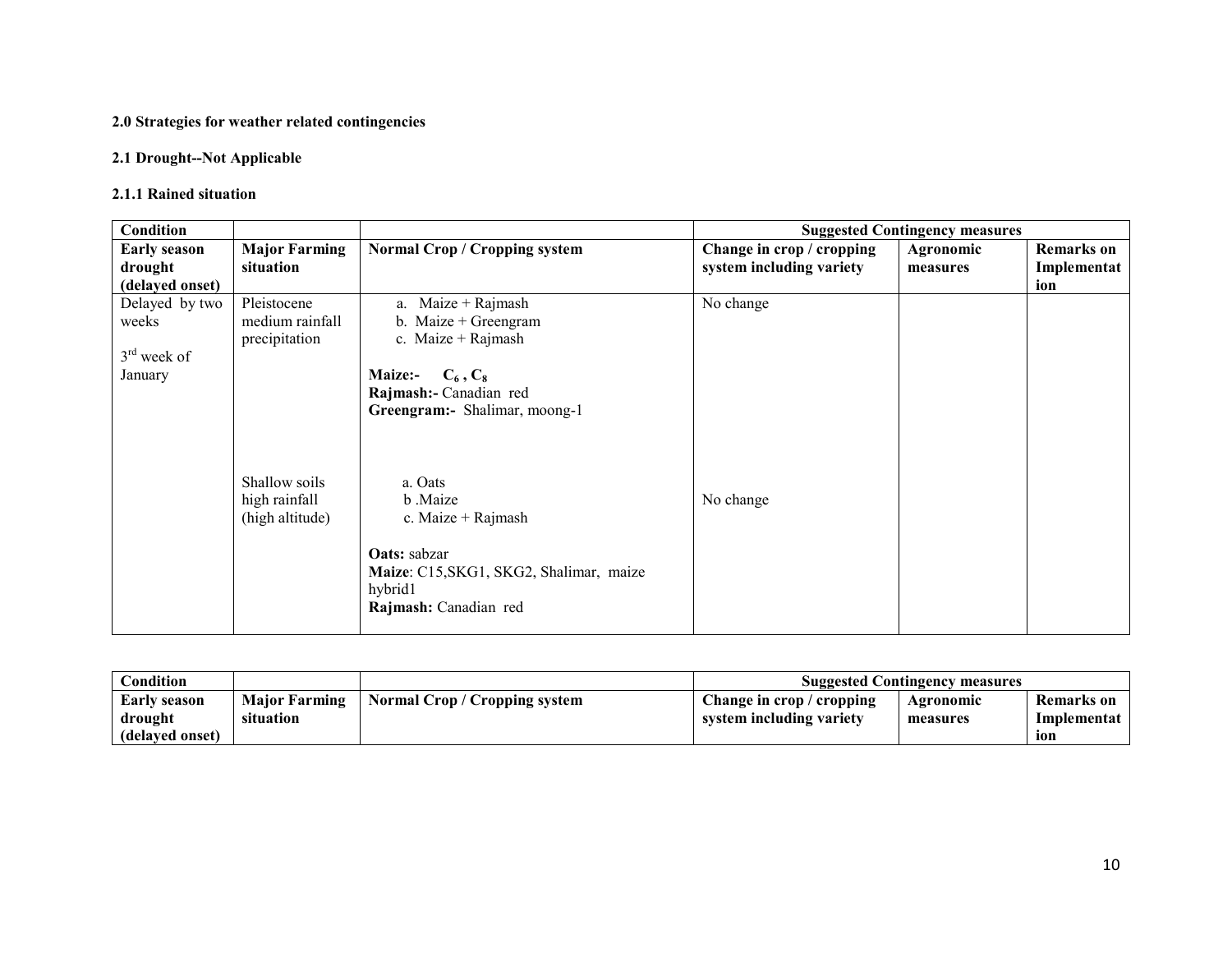#### 2.0 Strategies for weather related contingencies

#### 2.1 Drought--Not Applicable

#### 2.1.1 Rained situation

| <b>Condition</b>    |                                                   |                                                                                                                                                |                           | <b>Suggested Contingency measures</b> |                   |
|---------------------|---------------------------------------------------|------------------------------------------------------------------------------------------------------------------------------------------------|---------------------------|---------------------------------------|-------------------|
| <b>Early season</b> | <b>Major Farming</b>                              | <b>Normal Crop / Cropping system</b>                                                                                                           | Change in crop / cropping | Agronomic                             | <b>Remarks</b> on |
| drought             | situation                                         |                                                                                                                                                | system including variety  | measures                              | Implementat       |
| (delayed onset)     |                                                   |                                                                                                                                                |                           |                                       | ion               |
| Delayed by two      | Pleistocene                                       | a. Maize + Rajmash                                                                                                                             | No change                 |                                       |                   |
| weeks               | medium rainfall                                   | b. Maize $+$ Greengram                                                                                                                         |                           |                                       |                   |
|                     | precipitation                                     | c. Maize + Rajmash                                                                                                                             |                           |                                       |                   |
| $3rd$ week of       |                                                   |                                                                                                                                                |                           |                                       |                   |
| January             |                                                   | $C_6$ , $C_8$<br><b>Maize:-</b>                                                                                                                |                           |                                       |                   |
|                     |                                                   | Rajmash:- Canadian red                                                                                                                         |                           |                                       |                   |
|                     |                                                   | Greengram:- Shalimar, moong-1                                                                                                                  |                           |                                       |                   |
|                     | Shallow soils<br>high rainfall<br>(high altitude) | a. Oats<br>b Maize<br>c. Maize + Rajmash<br><b>Oats:</b> sabzar<br>Maize: C15, SKG1, SKG2, Shalimar, maize<br>hybrid1<br>Rajmash: Canadian red | No change                 |                                       |                   |

| $\mathbf{Condition}$ |                      |                               | <b>Suggested Contingency measures</b> |           |                   |
|----------------------|----------------------|-------------------------------|---------------------------------------|-----------|-------------------|
| <b>Early season</b>  | <b>Maior Farming</b> | Normal Crop / Cropping system | Change in crop / cropping             | Agronomic | <b>Remarks</b> on |
| drought              | situation            |                               | system including variety              | measures  | Implementat       |
| (delayed onset)      |                      |                               |                                       |           | ion               |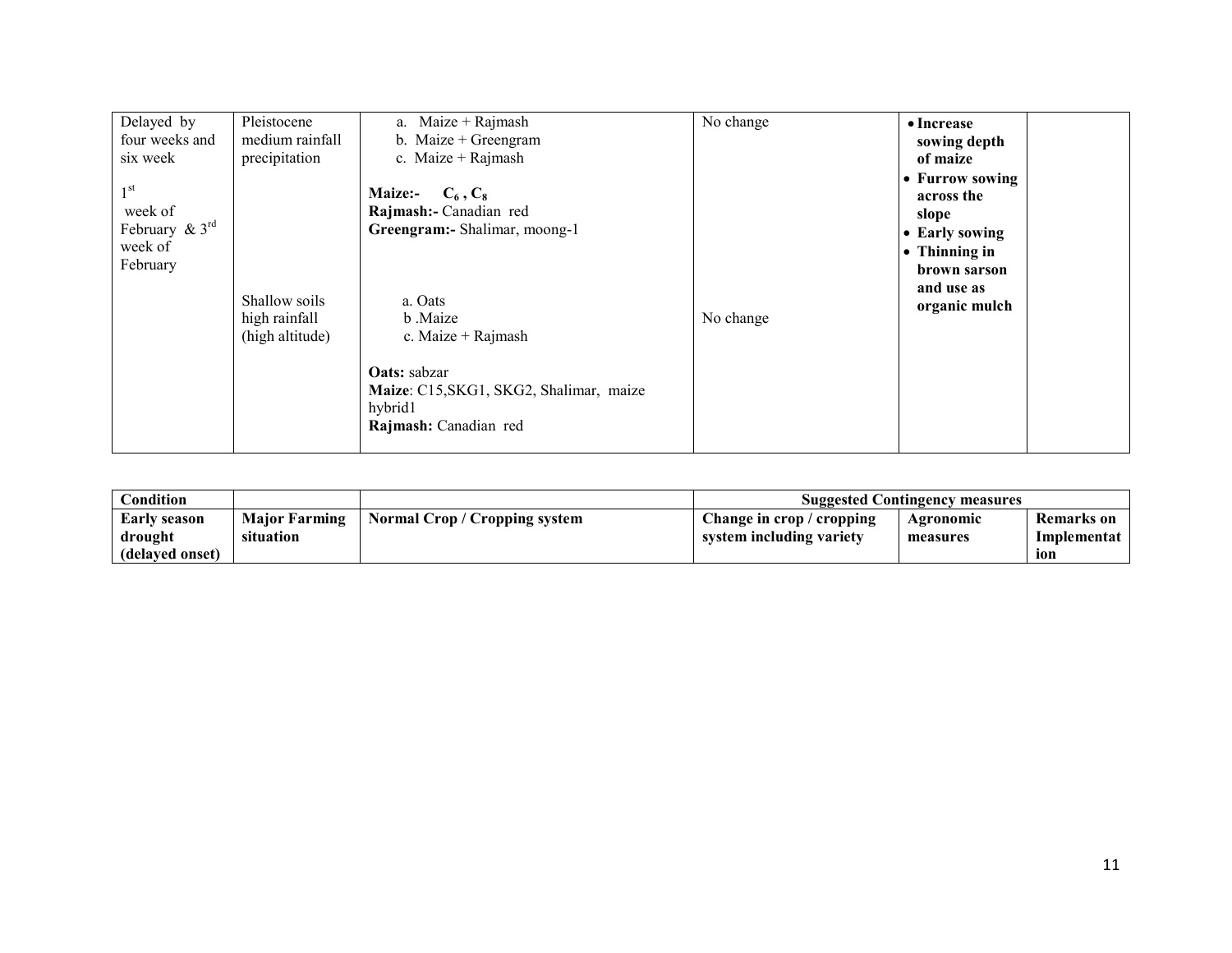| Delayed by<br>four weeks and<br>six week<br>$1^{\rm st}$<br>week of<br>February $\& 3^{\text{rd}}$ | Pleistocene<br>medium rainfall<br>precipitation   | a. Maize + Rajmash<br>b. Maize $+$ Greengram<br>c. Maize + Rajmash<br><b>Maize:-</b><br>$C_6, C_8$<br>Rajmash:- Canadian red                                                      | $\overline{No}$ change | • Increase<br>sowing depth<br>of maize<br>• Furrow sowing<br>across the<br>slope |
|----------------------------------------------------------------------------------------------------|---------------------------------------------------|-----------------------------------------------------------------------------------------------------------------------------------------------------------------------------------|------------------------|----------------------------------------------------------------------------------|
| week of<br>February                                                                                | Shallow soils<br>high rainfall<br>(high altitude) | Greengram:- Shalimar, moong-1<br>a. Oats<br>b Maize<br>c. Maize $+$ Rajmash<br><b>Oats:</b> sabzar<br>Maize: C15, SKG1, SKG2, Shalimar, maize<br>hybrid1<br>Rajmash: Canadian red | No change              | • Early sowing<br>• Thinning in<br>brown sarson<br>and use as<br>organic mulch   |

| Condition       |                      |                               | <b>Suggested Contingency measures</b> |           |                   |
|-----------------|----------------------|-------------------------------|---------------------------------------|-----------|-------------------|
| Early season    | <b>Major Farming</b> | Normal Crop / Cropping system | Change in crop / cropping             | Agronomic | <b>Remarks</b> on |
| drought         | situation            |                               | system including variety              | measures  | Implementat       |
| (delaved onset) |                      |                               |                                       |           | 10N               |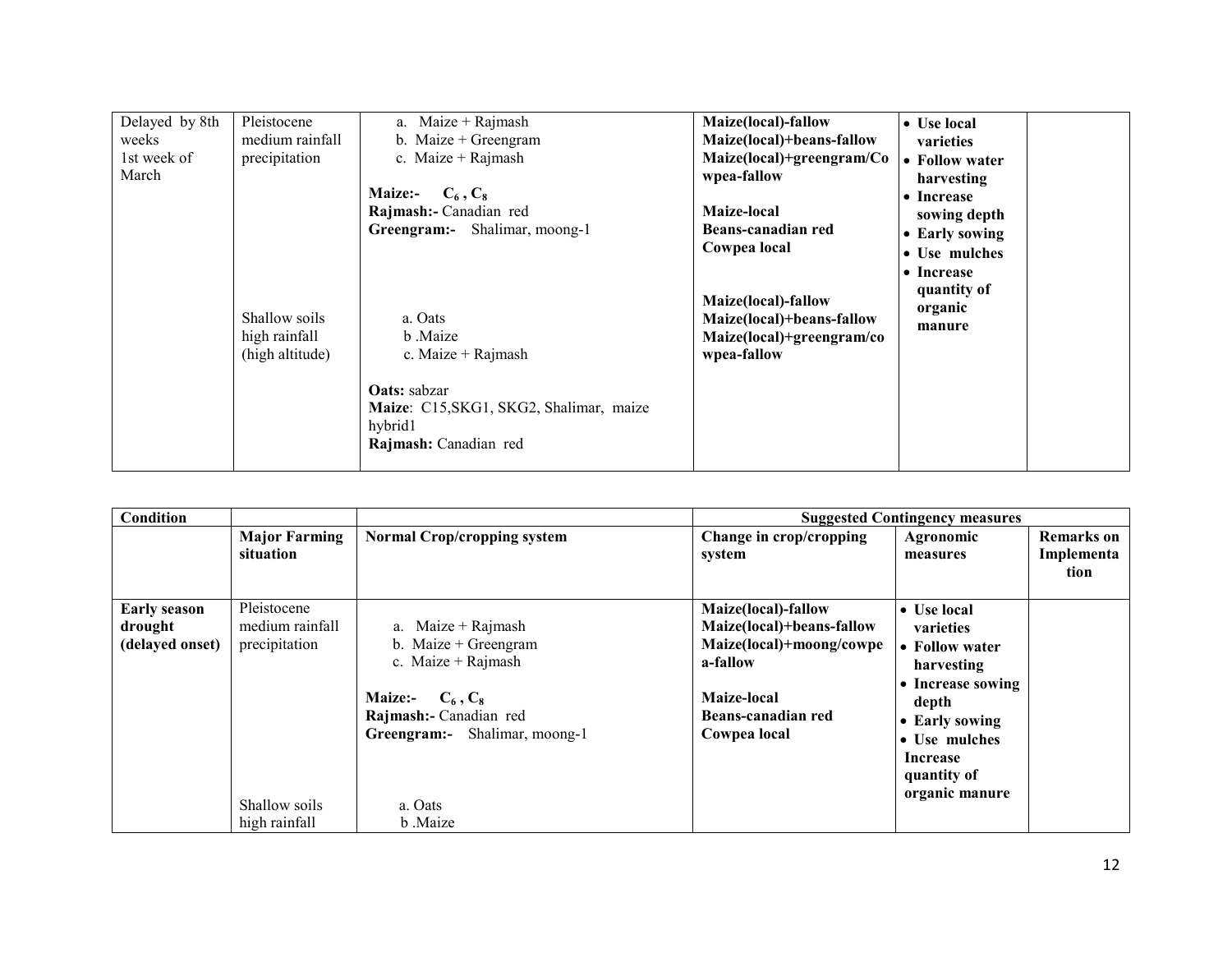| Delayed by 8th<br>weeks<br>1st week of<br>March | Pleistocene<br>medium rainfall<br>precipitation<br>Shallow soils<br>high rainfall<br>(high altitude) | $Maize + Rajmash$<br>a.<br>b. Maize $+$ Greengram<br>c. Maize + Rajmash<br><b>Maize:-</b><br>$C_6, C_8$<br>Rajmash:- Canadian red<br>Greengram:- Shalimar, moong-1<br>a. Oats<br>b Maize<br>c. Maize + Rajmash<br><b>Oats:</b> sabzar<br>Maize: C15, SKG1, SKG2, Shalimar, maize<br>hybrid1 | Maize(local)-fallow<br>Maize(local)+beans-fallow<br>Maize(local)+greengram/Co<br>wpea-fallow<br>Maize-local<br>Beans-canadian red<br>Cowpea local<br>Maize(local)-fallow<br>Maize(local)+beans-fallow<br>Maize(local)+greengram/co<br>wpea-fallow | $\bullet$ Use local<br>varieties<br>• Follow water<br>harvesting<br>• Increase<br>sowing depth<br>• Early sowing<br>• Use mulches<br>• Increase<br>quantity of<br>organic<br>manure |  |
|-------------------------------------------------|------------------------------------------------------------------------------------------------------|---------------------------------------------------------------------------------------------------------------------------------------------------------------------------------------------------------------------------------------------------------------------------------------------|---------------------------------------------------------------------------------------------------------------------------------------------------------------------------------------------------------------------------------------------------|-------------------------------------------------------------------------------------------------------------------------------------------------------------------------------------|--|
|                                                 |                                                                                                      | Rajmash: Canadian red                                                                                                                                                                                                                                                                       |                                                                                                                                                                                                                                                   |                                                                                                                                                                                     |  |

| Condition                                         |                                                                                   |                                                                                                                                                                                      |                                                                                                                                               | <b>Suggested Contingency measures</b>                                                                                                                                          |                                         |
|---------------------------------------------------|-----------------------------------------------------------------------------------|--------------------------------------------------------------------------------------------------------------------------------------------------------------------------------------|-----------------------------------------------------------------------------------------------------------------------------------------------|--------------------------------------------------------------------------------------------------------------------------------------------------------------------------------|-----------------------------------------|
|                                                   | <b>Major Farming</b><br>situation                                                 | <b>Normal Crop/cropping system</b>                                                                                                                                                   | Change in crop/cropping<br>system                                                                                                             | Agronomic<br>measures                                                                                                                                                          | <b>Remarks</b> on<br>Implementa<br>tion |
| <b>Early season</b><br>drought<br>(delayed onset) | Pleistocene<br>medium rainfall<br>precipitation<br>Shallow soils<br>high rainfall | a. Maize + Rajmash<br>b. Maize $+$ Greengram<br>c. Maize + Rajmash<br><b>Maize:-</b><br>$C_6, C_8$<br>Rajmash:- Canadian red<br>Greengram:- Shalimar, moong-1<br>a. Oats<br>b .Maize | Maize(local)-fallow<br>Maize(local)+beans-fallow<br>Maize(local)+moong/cowpe<br>a-fallow<br>Maize-local<br>Beans-canadian red<br>Cowpea local | $\bullet$ Use local<br>varieties<br>• Follow water<br>harvesting<br>• Increase sowing<br>depth<br>• Early sowing<br>• Use mulches<br>Increase<br>quantity of<br>organic manure |                                         |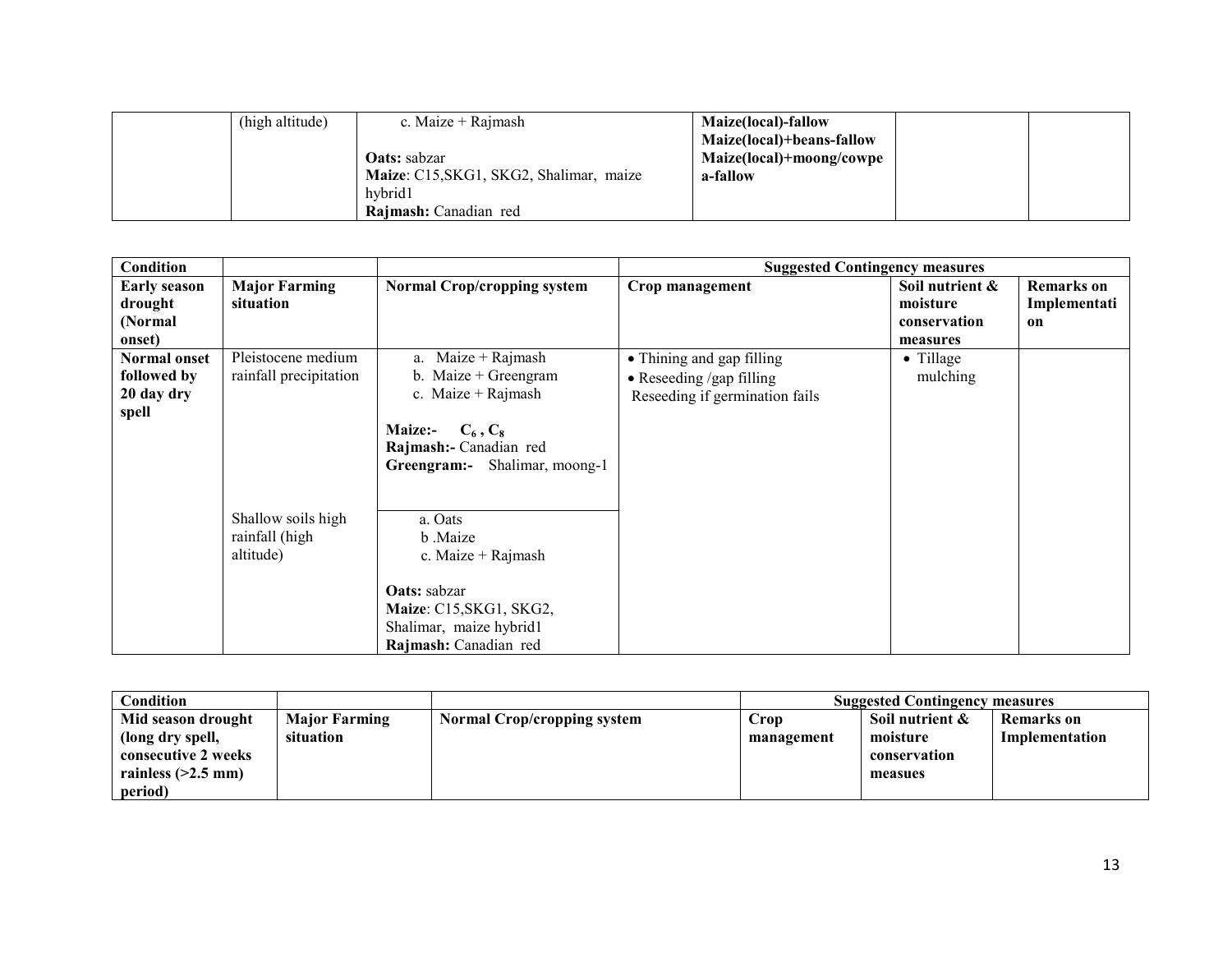| (high altitude) | c. Maize $+$ Rajmash                    | Maize(local)-fallow       |  |
|-----------------|-----------------------------------------|---------------------------|--|
|                 |                                         | Maize(local)+beans-fallow |  |
|                 | <b>Oats:</b> sabzar                     | Maize(local)+moong/cowpe  |  |
|                 | Maize: C15, SKG1, SKG2, Shalimar, maize | a-fallow                  |  |
|                 | hybrid1                                 |                           |  |
|                 | Rajmash: Canadian red                   |                           |  |

| <b>Condition</b>                                          |                                                   |                                                                                                                                                               | <b>Suggested Contingency measures</b>                                                           |                                                         |                                                    |
|-----------------------------------------------------------|---------------------------------------------------|---------------------------------------------------------------------------------------------------------------------------------------------------------------|-------------------------------------------------------------------------------------------------|---------------------------------------------------------|----------------------------------------------------|
| <b>Early season</b><br>drought<br>(Normal)<br>onset)      | <b>Major Farming</b><br>situation                 | <b>Normal Crop/cropping system</b>                                                                                                                            | Crop management                                                                                 | Soil nutrient &<br>moisture<br>conservation<br>measures | <b>Remarks</b> on<br>Implementati<br><sub>on</sub> |
| <b>Normal onset</b><br>followed by<br>20 day dry<br>spell | Pleistocene medium<br>rainfall precipitation      | a. Maize + Rajmash<br>b. Maize $+$ Greengram<br>c. Maize + Rajmash<br><b>Maize:-</b><br>$C_6, C_8$<br>Rajmash:- Canadian red<br>Greengram:- Shalimar, moong-1 | • Thining and gap filling<br>$\bullet$ Reseeding /gap filling<br>Reseeding if germination fails | • Tillage<br>mulching                                   |                                                    |
|                                                           | Shallow soils high<br>rainfall (high<br>altitude) | a. Oats<br>b Maize<br>c. Maize + Rajmash<br><b>Oats:</b> sabzar<br>Maize: C15, SKG1, SKG2,<br>Shalimar, maize hybrid1<br>Rajmash: Canadian red                |                                                                                                 |                                                         |                                                    |

| Condition            |                      |                                    |            | <b>Suggested Contingency measures</b> |                |
|----------------------|----------------------|------------------------------------|------------|---------------------------------------|----------------|
| Mid season drought   | <b>Major Farming</b> | <b>Normal Crop/cropping system</b> | Crop       | Soil nutrient &                       | Remarks on     |
| (long dry spell,     | situation            |                                    | management | moisture                              | Implementation |
| consecutive 2 weeks  |                      |                                    |            | conservation                          |                |
| rainless $(>2.5$ mm) |                      |                                    |            | measues                               |                |
| period)              |                      |                                    |            |                                       |                |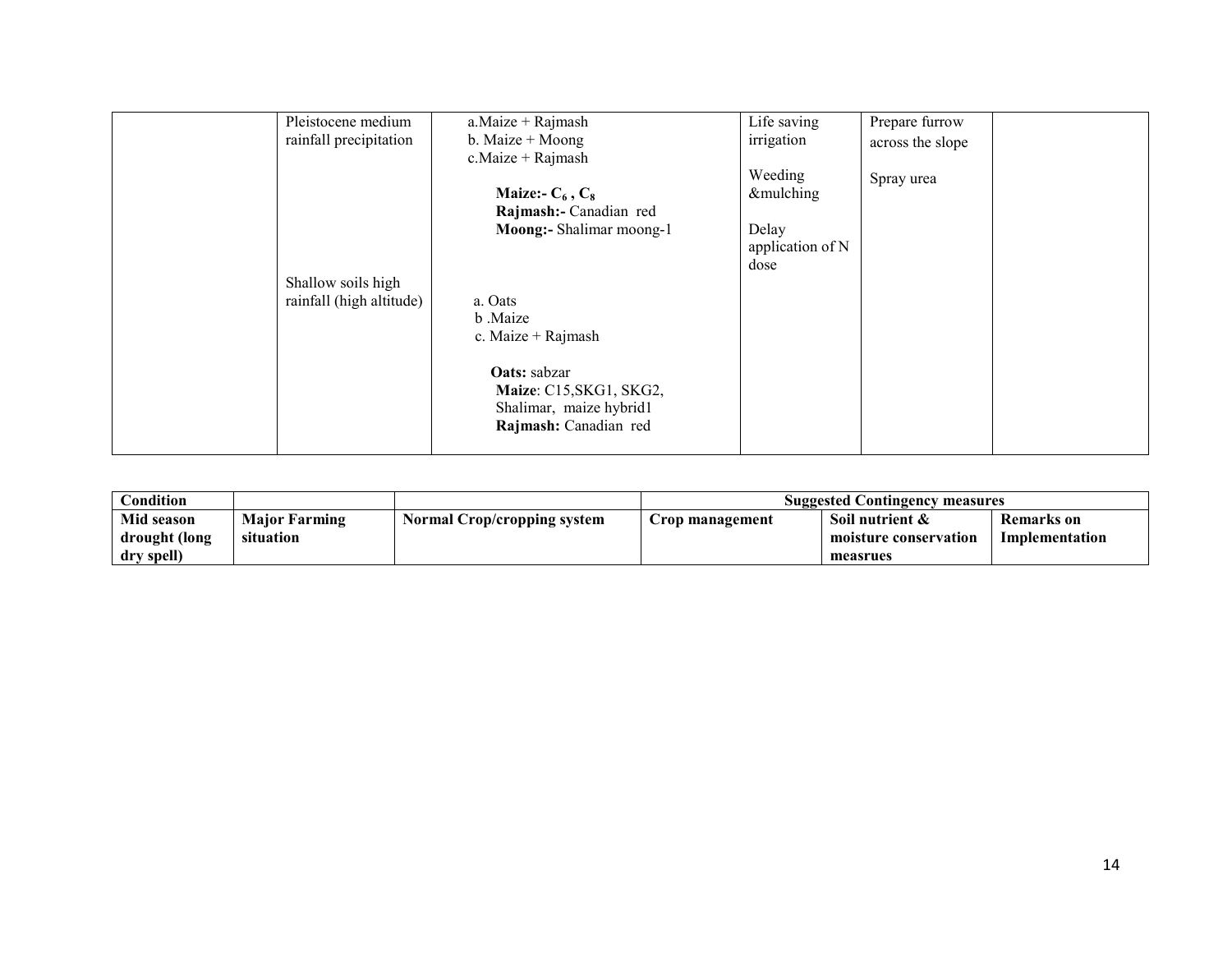| Pleistocene medium<br>rainfall precipitation   | a.Maize + Rajmash<br>b. Maize $+$ Moong<br>$c$ . Maize + Rajmash<br>Maize:- $C_6$ , $C_8$<br>Rajmash:- Canadian red<br>Moong:- Shalimar moong-1 | Life saving<br>irrigation<br>Weeding<br>&mulching<br>Delay | Prepare furrow<br>across the slope<br>Spray urea |
|------------------------------------------------|-------------------------------------------------------------------------------------------------------------------------------------------------|------------------------------------------------------------|--------------------------------------------------|
| Shallow soils high<br>rainfall (high altitude) | a. Oats<br>b .Maize<br>c. Maize + Rajmash<br>Oats: sabzar<br>Maize: C15, SKG1, SKG2,<br>Shalimar, maize hybrid1<br>Rajmash: Canadian red        | application of N<br>dose                                   |                                                  |

| Condition     |                      |                             | <b>Suggested Contingency measures</b> |                       |                   |
|---------------|----------------------|-----------------------------|---------------------------------------|-----------------------|-------------------|
| Mid season    | <b>Major Farming</b> | Normal Crop/cropping system | Crop management                       | Soil nutrient &       | <b>Remarks</b> on |
| drought (long | situation            |                             |                                       | moisture conservation | Implementation    |
| dry spell)    |                      |                             |                                       | measrues              |                   |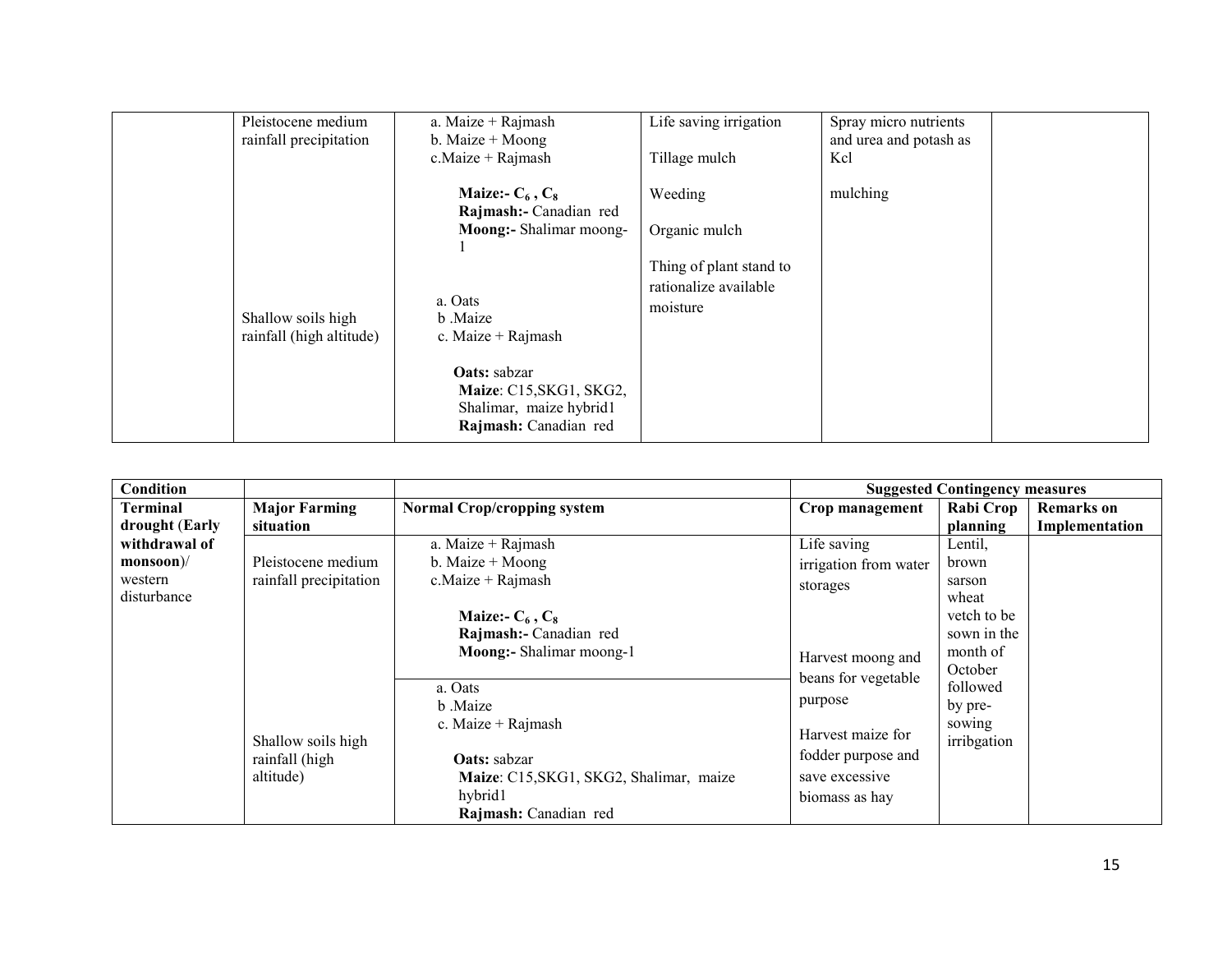| Pleistocene medium<br>rainfall precipitation   | a. Maize + Rajmash<br>b. Maize $+$ Moong<br>$c$ . Maize + Rajmash                                                                                                                                                             | Life saving irrigation<br>Tillage mulch                                                  | Spray micro nutrients<br>and urea and potash as<br>Kcl |
|------------------------------------------------|-------------------------------------------------------------------------------------------------------------------------------------------------------------------------------------------------------------------------------|------------------------------------------------------------------------------------------|--------------------------------------------------------|
| Shallow soils high<br>rainfall (high altitude) | Maize:- $C_6$ , $C_8$<br>Rajmash:- Canadian red<br>Moong:- Shalimar moong-<br>a. Oats<br>b .Maize<br>c. Maize + Rajmash<br><b>Oats:</b> sabzar<br>Maize: C15, SKG1, SKG2,<br>Shalimar, maize hybrid1<br>Rajmash: Canadian red | Weeding<br>Organic mulch<br>Thing of plant stand to<br>rationalize available<br>moisture | mulching                                               |

| <b>Condition</b> |                        |                                         |                       | <b>Suggested Contingency measures</b> |                   |
|------------------|------------------------|-----------------------------------------|-----------------------|---------------------------------------|-------------------|
| Terminal         | <b>Major Farming</b>   | <b>Normal Crop/cropping system</b>      | Crop management       | Rabi Crop                             | <b>Remarks</b> on |
| drought (Early   | situation              |                                         |                       | planning                              | Implementation    |
| withdrawal of    |                        | a. Maize + Rajmash                      | Life saving           | Lentil,                               |                   |
| $monsoon$ //     | Pleistocene medium     | b. Maize $+$ Moong                      | irrigation from water | brown                                 |                   |
| western          | rainfall precipitation | c. Maize $+$ Rajmash                    | storages              | sarson                                |                   |
| disturbance      |                        |                                         |                       | wheat                                 |                   |
|                  |                        | Maize:- $C_6$ , $C_8$                   |                       | vetch to be                           |                   |
|                  |                        | Rajmash:- Canadian red                  |                       | sown in the                           |                   |
|                  |                        | Moong:- Shalimar moong-1                | Harvest moong and     | month of                              |                   |
|                  |                        |                                         | beans for vegetable   | October                               |                   |
|                  |                        | a. Oats                                 |                       | followed                              |                   |
|                  |                        | b Maize                                 | purpose               | by pre-                               |                   |
|                  |                        | c. Maize $+$ Rajmash                    | Harvest maize for     | sowing                                |                   |
|                  | Shallow soils high     |                                         |                       | irribgation                           |                   |
|                  | rainfall (high         | <b>Oats:</b> sabzar                     | fodder purpose and    |                                       |                   |
|                  | altitude)              | Maize: C15, SKG1, SKG2, Shalimar, maize | save excessive        |                                       |                   |
|                  |                        | hybrid1                                 | biomass as hay        |                                       |                   |
|                  |                        | Rajmash: Canadian red                   |                       |                                       |                   |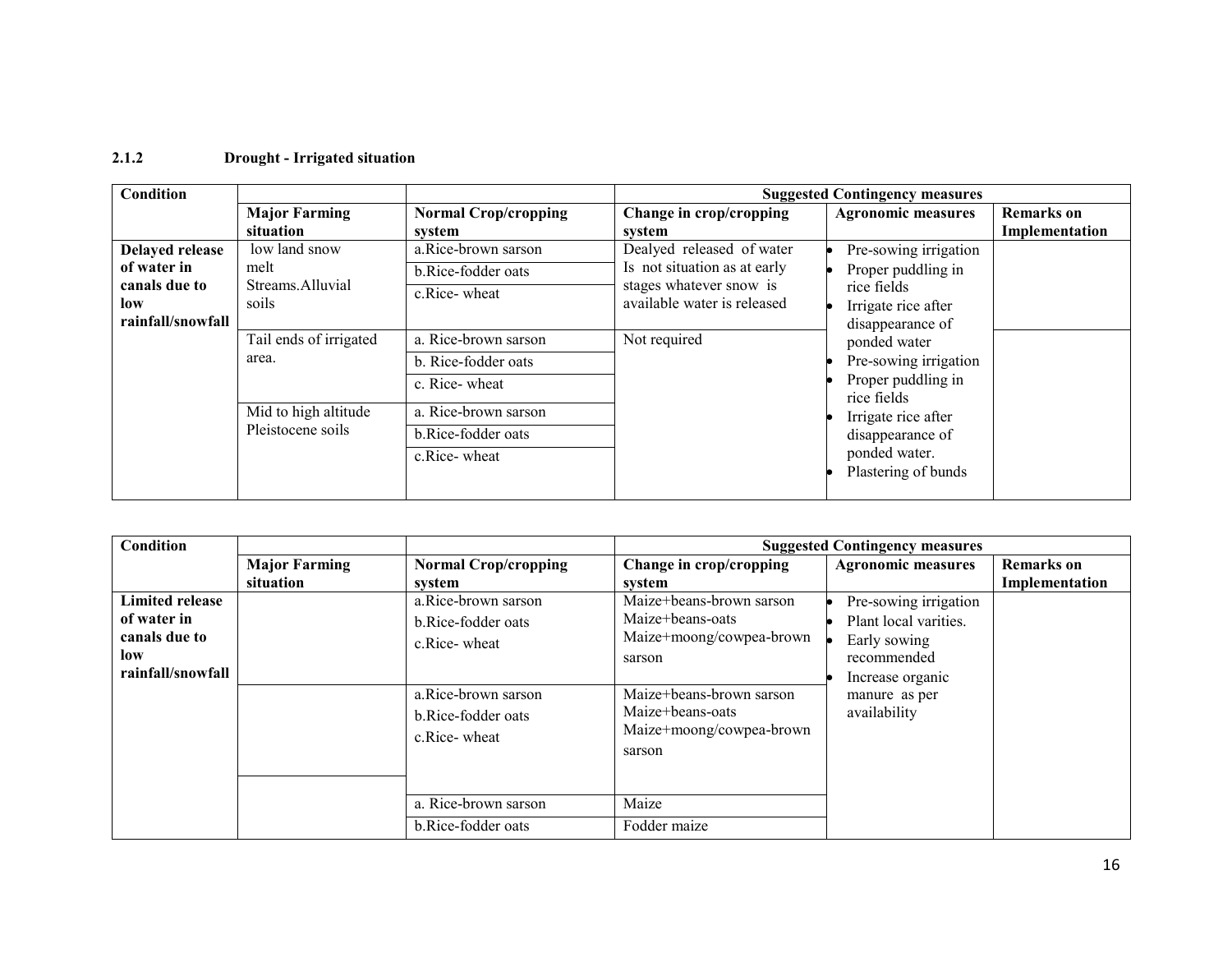#### 2.1.2 Drought - Irrigated situation

| <b>Condition</b>  |                        |                             |                              | <b>Suggested Contingency measures</b>                                                                 |                   |
|-------------------|------------------------|-----------------------------|------------------------------|-------------------------------------------------------------------------------------------------------|-------------------|
|                   | <b>Major Farming</b>   | <b>Normal Crop/cropping</b> | Change in crop/cropping      | <b>Agronomic measures</b>                                                                             | <b>Remarks</b> on |
|                   | situation              | system                      | system                       |                                                                                                       | Implementation    |
| Delayed release   | low land snow          | a.Rice-brown sarson         | Dealyed released of water    | Pre-sowing irrigation                                                                                 |                   |
| of water in       | melt                   | b.Rice-fodder oats          | Is not situation as at early | Proper puddling in                                                                                    |                   |
| canals due to     | Streams Alluvial       | c.Rice-wheat                | stages whatever snow is      | rice fields                                                                                           |                   |
| low               | soils                  |                             | available water is released  | Irrigate rice after                                                                                   |                   |
| rainfall/snowfall |                        |                             |                              | disappearance of                                                                                      |                   |
|                   | Tail ends of irrigated | a. Rice-brown sarson        | Not required                 | ponded water                                                                                          |                   |
|                   | area.                  | b. Rice-fodder oats         |                              | Pre-sowing irrigation<br>Proper puddling in<br>rice fields<br>Irrigate rice after<br>disappearance of |                   |
|                   |                        | c. Rice-wheat               |                              |                                                                                                       |                   |
|                   | Mid to high altitude   | a. Rice-brown sarson        |                              |                                                                                                       |                   |
|                   | Pleistocene soils      | b.Rice-fodder oats          |                              |                                                                                                       |                   |
|                   |                        | c.Rice-wheat                |                              | ponded water.<br>Plastering of bunds                                                                  |                   |

| Condition                                              |                      |                                                           |                                                                                    | <b>Suggested Contingency measures</b>                          |                   |
|--------------------------------------------------------|----------------------|-----------------------------------------------------------|------------------------------------------------------------------------------------|----------------------------------------------------------------|-------------------|
|                                                        | <b>Major Farming</b> | <b>Normal Crop/cropping</b>                               | Change in crop/cropping                                                            | <b>Agronomic measures</b>                                      | <b>Remarks</b> on |
|                                                        | situation            | system                                                    | system                                                                             |                                                                | Implementation    |
| <b>Limited release</b><br>of water in<br>canals due to |                      | a.Rice-brown sarson<br>b.Rice-fodder oats<br>c.Rice-wheat | Maize+beans-brown sarson<br>Maize+beans-oats<br>Maize+moong/cowpea-brown           | Pre-sowing irrigation<br>Plant local varities.<br>Early sowing |                   |
| low<br>rainfall/snowfall                               |                      |                                                           | sarson                                                                             | recommended<br>Increase organic                                |                   |
|                                                        |                      | a.Rice-brown sarson<br>b.Rice-fodder oats<br>c.Rice-wheat | Maize+beans-brown sarson<br>Maize+beans-oats<br>Maize+moong/cowpea-brown<br>sarson | manure as per<br>availability                                  |                   |
|                                                        |                      | a. Rice-brown sarson                                      | Maize                                                                              |                                                                |                   |
|                                                        |                      | b.Rice-fodder oats                                        | Fodder maize                                                                       |                                                                |                   |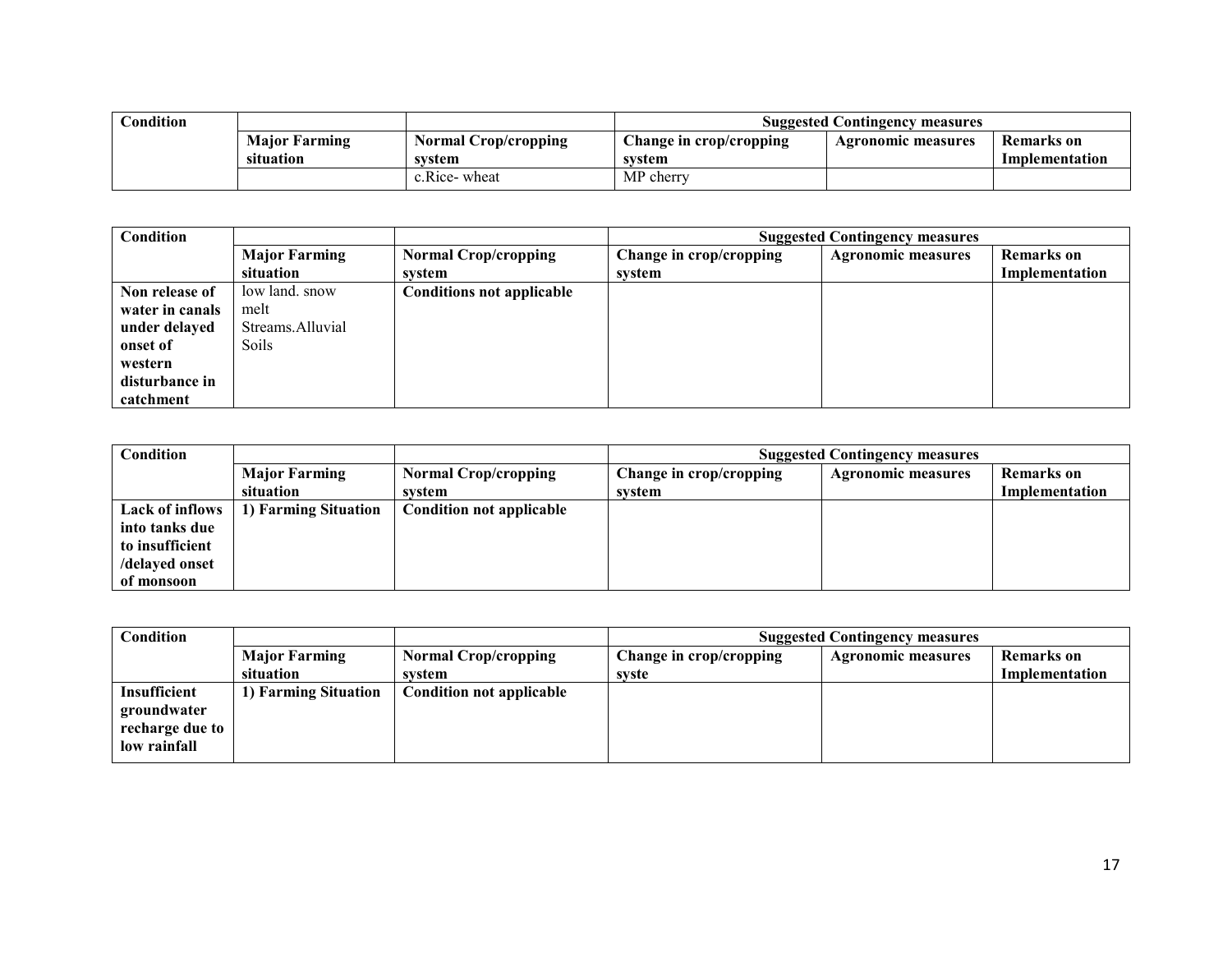| $\cap$ ondition |                      |                      | <b>Suggested Contingency measures</b> |                    |                |  |
|-----------------|----------------------|----------------------|---------------------------------------|--------------------|----------------|--|
|                 | <b>Major Farming</b> | Normal Crop/cropping | Change in crop/cropping               | Agronomic measures | Remarks on     |  |
|                 | situation            | system               | system                                |                    | Implementation |  |
|                 |                      | c.Rice-wheat         | MP cherry                             |                    |                |  |

| Condition       |                      |                                  | <b>Suggested Contingency measures</b> |                           |                   |  |
|-----------------|----------------------|----------------------------------|---------------------------------------|---------------------------|-------------------|--|
|                 | <b>Major Farming</b> | <b>Normal Crop/cropping</b>      | Change in crop/cropping               | <b>Agronomic measures</b> | <b>Remarks</b> on |  |
|                 | situation            | system                           | system                                |                           | Implementation    |  |
| Non release of  | low land, snow       | <b>Conditions not applicable</b> |                                       |                           |                   |  |
| water in canals | melt                 |                                  |                                       |                           |                   |  |
| under delayed   | Streams.Alluvial     |                                  |                                       |                           |                   |  |
| onset of        | Soils                |                                  |                                       |                           |                   |  |
| western         |                      |                                  |                                       |                           |                   |  |
| disturbance in  |                      |                                  |                                       |                           |                   |  |
| catchment       |                      |                                  |                                       |                           |                   |  |

| <b>Condition</b> |                      |                             | <b>Suggested Contingency measures</b> |                           |                   |  |
|------------------|----------------------|-----------------------------|---------------------------------------|---------------------------|-------------------|--|
|                  | <b>Major Farming</b> | <b>Normal Crop/cropping</b> | Change in crop/cropping               | <b>Agronomic measures</b> | <b>Remarks</b> on |  |
|                  | situation            | system                      | svstem                                |                           | Implementation    |  |
| Lack of inflows  | 1) Farming Situation | Condition not applicable    |                                       |                           |                   |  |
| into tanks due   |                      |                             |                                       |                           |                   |  |
| to insufficient  |                      |                             |                                       |                           |                   |  |
| /delaved onset   |                      |                             |                                       |                           |                   |  |
| of monsoon       |                      |                             |                                       |                           |                   |  |

| Condition       |                      |                                 | <b>Suggested Contingency measures</b> |                           |                |  |
|-----------------|----------------------|---------------------------------|---------------------------------------|---------------------------|----------------|--|
|                 | <b>Major Farming</b> | <b>Normal Crop/cropping</b>     | Change in crop/cropping               | <b>Agronomic measures</b> | Remarks on     |  |
|                 | situation            | system                          | syste                                 |                           | Implementation |  |
| Insufficient    | 1) Farming Situation | <b>Condition not applicable</b> |                                       |                           |                |  |
| groundwater     |                      |                                 |                                       |                           |                |  |
| recharge due to |                      |                                 |                                       |                           |                |  |
| low rainfall    |                      |                                 |                                       |                           |                |  |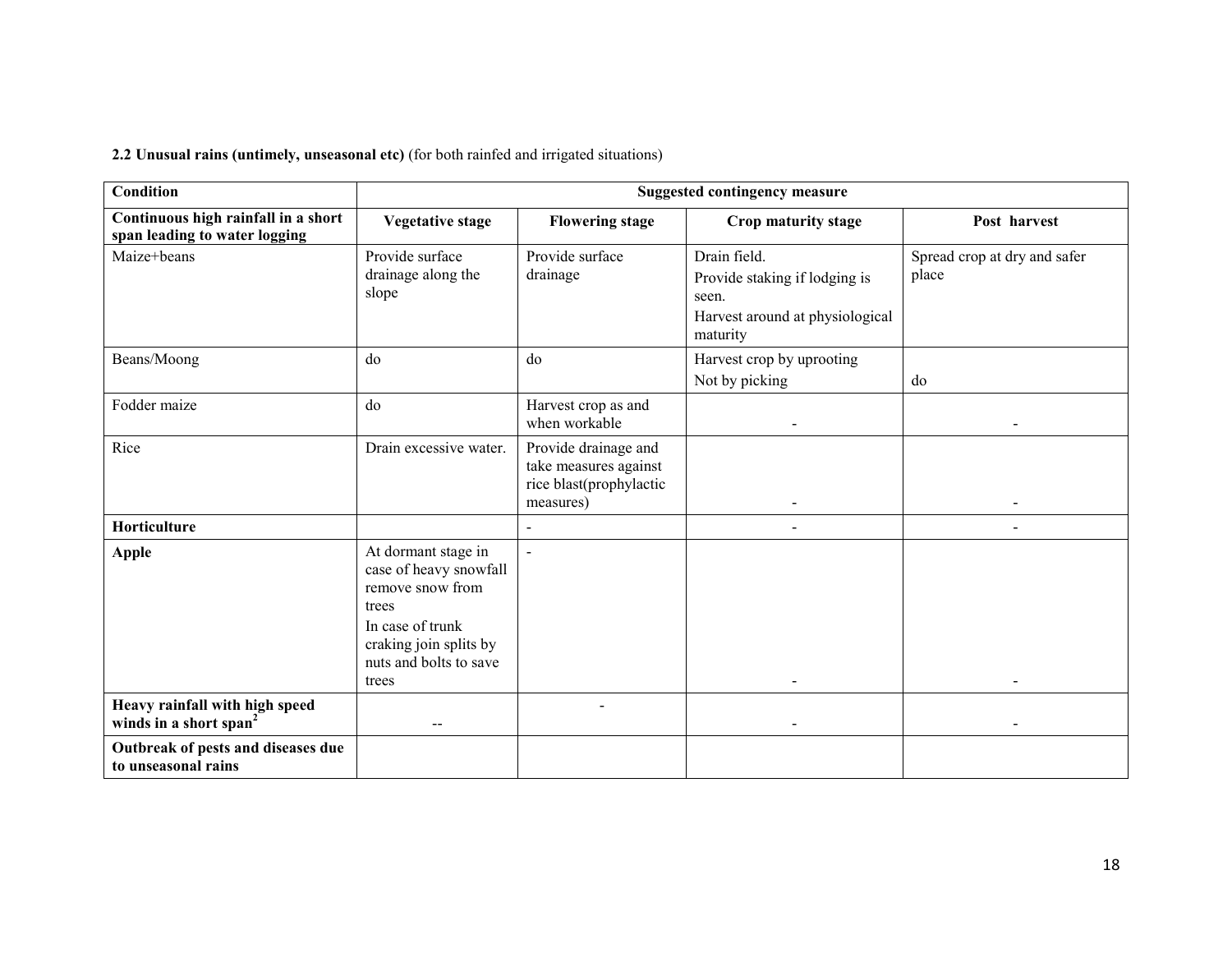2.2 Unusual rains (untimely, unseasonal etc) (for both rainfed and irrigated situations)

| <b>Condition</b>                                                     | <b>Suggested contingency measure</b>                                                                                                                        |                                                                                       |                                                                                                       |                                       |
|----------------------------------------------------------------------|-------------------------------------------------------------------------------------------------------------------------------------------------------------|---------------------------------------------------------------------------------------|-------------------------------------------------------------------------------------------------------|---------------------------------------|
| Continuous high rainfall in a short<br>span leading to water logging | <b>Vegetative stage</b>                                                                                                                                     | <b>Flowering stage</b>                                                                | Crop maturity stage                                                                                   | Post harvest                          |
| Maize+beans                                                          | Provide surface<br>drainage along the<br>slope                                                                                                              | Provide surface<br>drainage                                                           | Drain field.<br>Provide staking if lodging is<br>seen.<br>Harvest around at physiological<br>maturity | Spread crop at dry and safer<br>place |
| Beans/Moong                                                          | do                                                                                                                                                          | do                                                                                    | Harvest crop by uprooting<br>Not by picking                                                           | do                                    |
| Fodder maize                                                         | do                                                                                                                                                          | Harvest crop as and<br>when workable                                                  | -                                                                                                     |                                       |
| Rice                                                                 | Drain excessive water.                                                                                                                                      | Provide drainage and<br>take measures against<br>rice blast(prophylactic<br>measures) | $\blacksquare$                                                                                        | $\blacksquare$                        |
| Horticulture                                                         |                                                                                                                                                             | $\overline{a}$                                                                        | $\overline{a}$                                                                                        |                                       |
| <b>Apple</b>                                                         | At dormant stage in<br>case of heavy snowfall<br>remove snow from<br>trees<br>In case of trunk<br>craking join splits by<br>nuts and bolts to save<br>trees | $\overline{a}$                                                                        |                                                                                                       |                                       |
| Heavy rainfall with high speed<br>winds in a short span <sup>2</sup> | $- -$                                                                                                                                                       |                                                                                       | $\overline{a}$                                                                                        |                                       |
| Outbreak of pests and diseases due<br>to unseasonal rains            |                                                                                                                                                             |                                                                                       |                                                                                                       |                                       |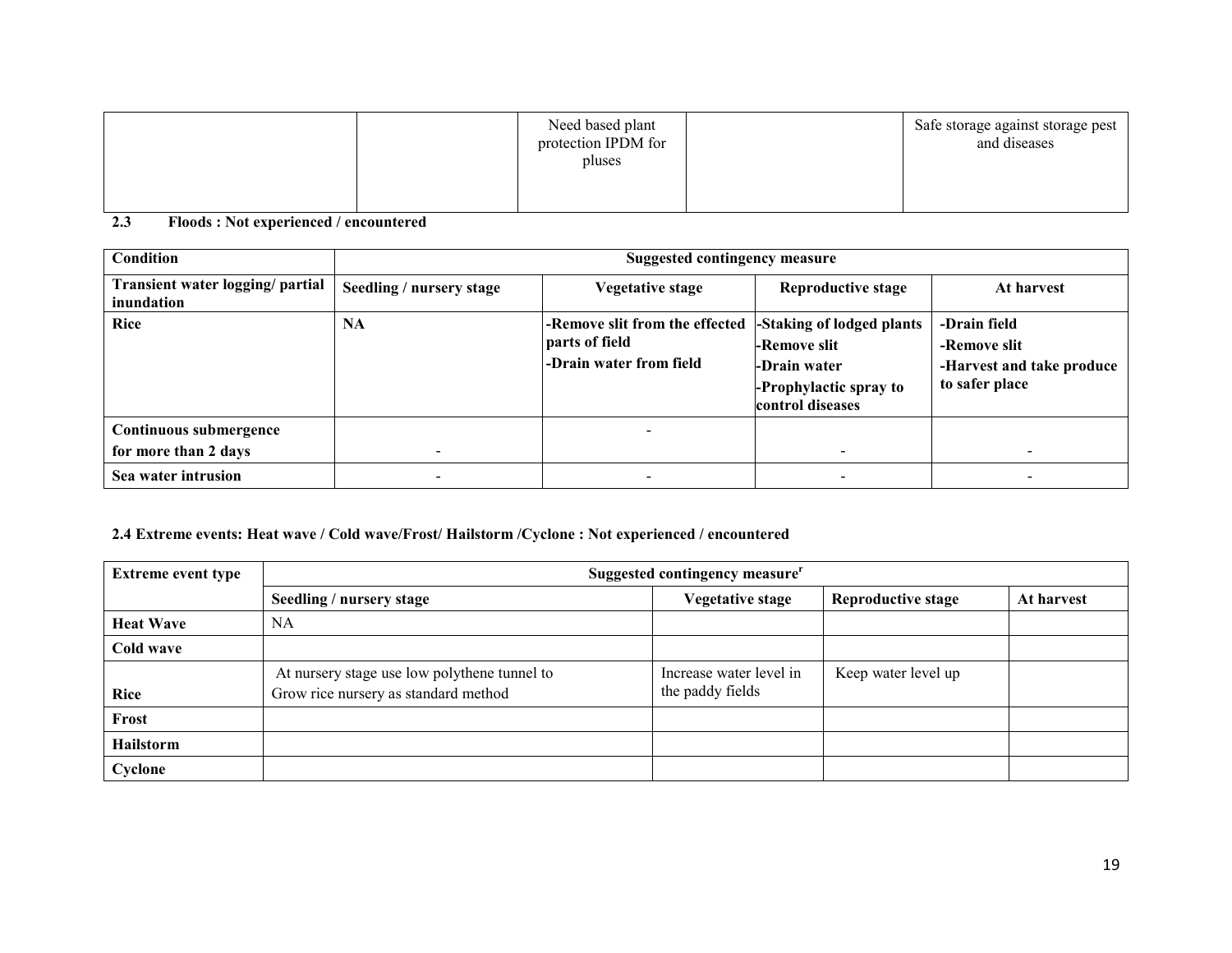|  | Need based plant<br>protection IPDM for<br>pluses | Safe storage against storage pest<br>and diseases |
|--|---------------------------------------------------|---------------------------------------------------|
|  |                                                   |                                                   |

2.3 Floods : Not experienced / encountered

| Condition                                      | <b>Suggested contingency measure</b> |                                                                             |                                                                                                         |                                                                             |  |
|------------------------------------------------|--------------------------------------|-----------------------------------------------------------------------------|---------------------------------------------------------------------------------------------------------|-----------------------------------------------------------------------------|--|
| Transient water logging/ partial<br>inundation | Seedling / nursery stage             | Vegetative stage                                                            | <b>Reproductive stage</b>                                                                               | At harvest                                                                  |  |
| Rice                                           | <b>NA</b>                            | -Remove slit from the effected<br>parts of field<br>-Drain water from field | -Staking of lodged plants<br>-Remove slit<br>-Drain water<br>-Prophylactic spray to<br>control diseases | -Drain field<br>-Remove slit<br>-Harvest and take produce<br>to safer place |  |
| Continuous submergence                         |                                      |                                                                             |                                                                                                         |                                                                             |  |
| for more than 2 days                           | $\overline{\phantom{0}}$             |                                                                             |                                                                                                         |                                                                             |  |
| Sea water intrusion                            |                                      |                                                                             |                                                                                                         |                                                                             |  |

#### 2.4 Extreme events: Heat wave / Cold wave/Frost/ Hailstorm /Cyclone : Not experienced / encountered

| <b>Extreme event type</b> | Suggested contingency measure <sup>r</sup>                                           |                                             |                           |            |  |  |
|---------------------------|--------------------------------------------------------------------------------------|---------------------------------------------|---------------------------|------------|--|--|
|                           | Seedling / nursery stage                                                             | <b>Vegetative stage</b>                     | <b>Reproductive stage</b> | At harvest |  |  |
| <b>Heat Wave</b>          | <b>NA</b>                                                                            |                                             |                           |            |  |  |
| Cold wave                 |                                                                                      |                                             |                           |            |  |  |
| <b>Rice</b>               | At nursery stage use low polythene tunnel to<br>Grow rice nursery as standard method | Increase water level in<br>the paddy fields | Keep water level up       |            |  |  |
| Frost                     |                                                                                      |                                             |                           |            |  |  |
| <b>Hailstorm</b>          |                                                                                      |                                             |                           |            |  |  |
| Cyclone                   |                                                                                      |                                             |                           |            |  |  |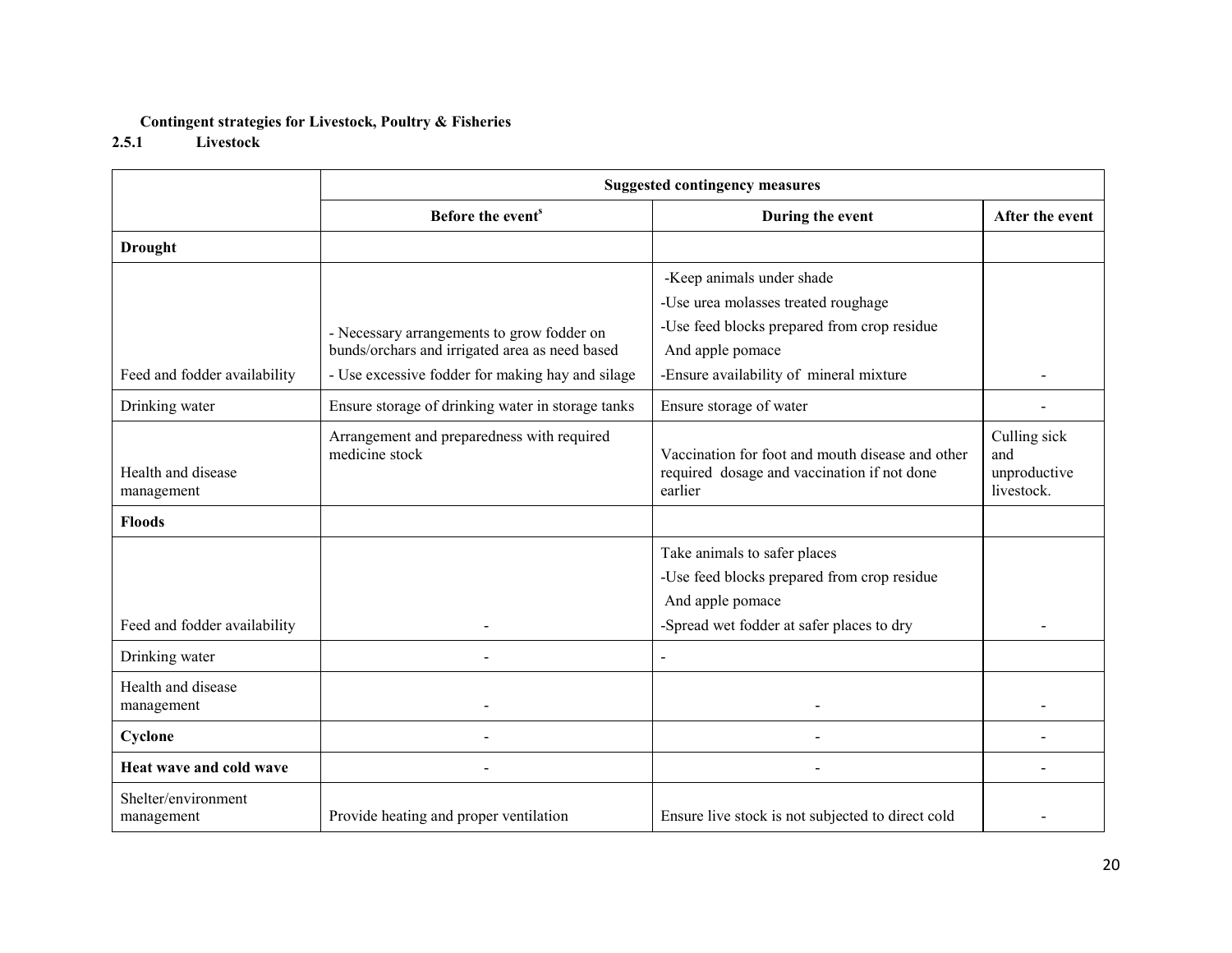#### Contingent strategies for Livestock, Poultry & Fisheries

#### 2.5.1 Livestock

|                                   | <b>Suggested contingency measures</b>                        |                                                                                                            |                                                   |  |  |
|-----------------------------------|--------------------------------------------------------------|------------------------------------------------------------------------------------------------------------|---------------------------------------------------|--|--|
|                                   | Before the event <sup>s</sup>                                | During the event                                                                                           | After the event                                   |  |  |
| <b>Drought</b>                    |                                                              |                                                                                                            |                                                   |  |  |
|                                   |                                                              | -Keep animals under shade                                                                                  |                                                   |  |  |
|                                   |                                                              | -Use urea molasses treated roughage                                                                        |                                                   |  |  |
|                                   | - Necessary arrangements to grow fodder on                   | -Use feed blocks prepared from crop residue                                                                |                                                   |  |  |
|                                   | bunds/orchars and irrigated area as need based               | And apple pomace                                                                                           |                                                   |  |  |
| Feed and fodder availability      | - Use excessive fodder for making hay and silage             | -Ensure availability of mineral mixture                                                                    |                                                   |  |  |
| Drinking water                    | Ensure storage of drinking water in storage tanks            | Ensure storage of water                                                                                    |                                                   |  |  |
| Health and disease<br>management  | Arrangement and preparedness with required<br>medicine stock | Vaccination for foot and mouth disease and other<br>required dosage and vaccination if not done<br>earlier | Culling sick<br>and<br>unproductive<br>livestock. |  |  |
| <b>Floods</b>                     |                                                              |                                                                                                            |                                                   |  |  |
|                                   |                                                              | Take animals to safer places                                                                               |                                                   |  |  |
|                                   |                                                              | -Use feed blocks prepared from crop residue                                                                |                                                   |  |  |
|                                   |                                                              | And apple pomace                                                                                           |                                                   |  |  |
| Feed and fodder availability      |                                                              | -Spread wet fodder at safer places to dry                                                                  |                                                   |  |  |
| Drinking water                    |                                                              |                                                                                                            |                                                   |  |  |
| Health and disease<br>management  |                                                              |                                                                                                            |                                                   |  |  |
| Cyclone                           |                                                              |                                                                                                            |                                                   |  |  |
| Heat wave and cold wave           |                                                              |                                                                                                            |                                                   |  |  |
| Shelter/environment<br>management | Provide heating and proper ventilation                       | Ensure live stock is not subjected to direct cold                                                          |                                                   |  |  |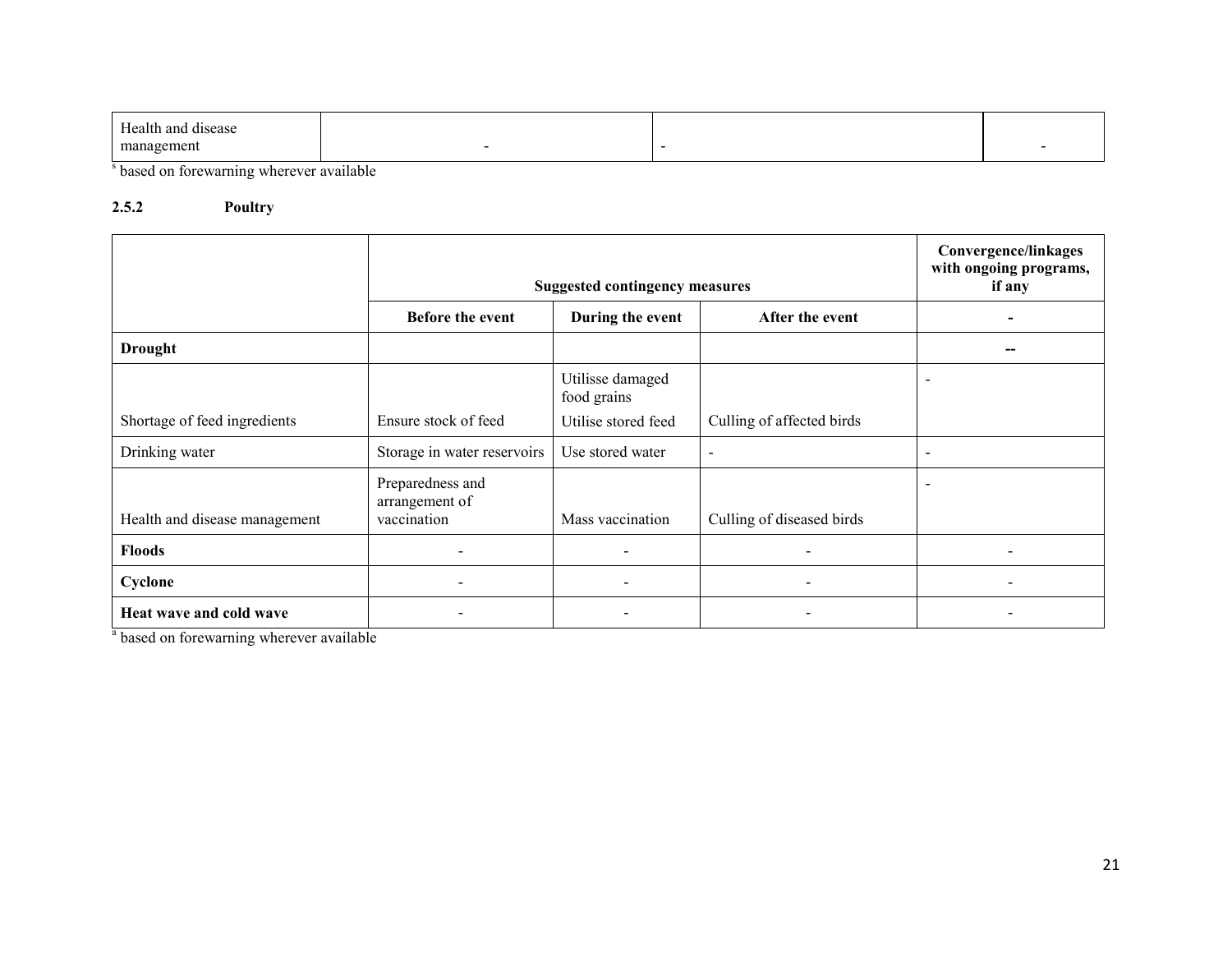| $\mathbf{r}$<br>Health and<br>disease |  |  |
|---------------------------------------|--|--|
| mana<br>zement                        |  |  |

<sup>s</sup> based on forewarning wherever available

#### 2.5.2 Poultry

|                               | <b>Suggested contingency measures</b>                   |                                 |                           | Convergence/linkages<br>with ongoing programs,<br>if any |
|-------------------------------|---------------------------------------------------------|---------------------------------|---------------------------|----------------------------------------------------------|
|                               | Before the event<br>After the event<br>During the event |                                 |                           |                                                          |
| <b>Drought</b>                |                                                         |                                 |                           |                                                          |
|                               |                                                         | Utilisse damaged<br>food grains |                           | $\overline{\phantom{0}}$                                 |
| Shortage of feed ingredients  | Ensure stock of feed                                    | Utilise stored feed             | Culling of affected birds |                                                          |
| Drinking water                | Storage in water reservoirs                             | Use stored water                | $\blacksquare$            | $\overline{\phantom{a}}$                                 |
| Health and disease management | Preparedness and<br>arrangement of<br>vaccination       | Mass vaccination                | Culling of diseased birds | $\overline{\phantom{a}}$                                 |
| <b>Floods</b>                 |                                                         | $\overline{\phantom{a}}$        |                           |                                                          |
| Cyclone                       | $\overline{\phantom{a}}$                                | $\sim$                          | $\overline{\phantom{a}}$  |                                                          |
| Heat wave and cold wave       |                                                         |                                 | $\blacksquare$            |                                                          |

<sup>a</sup> based on forewarning wherever available